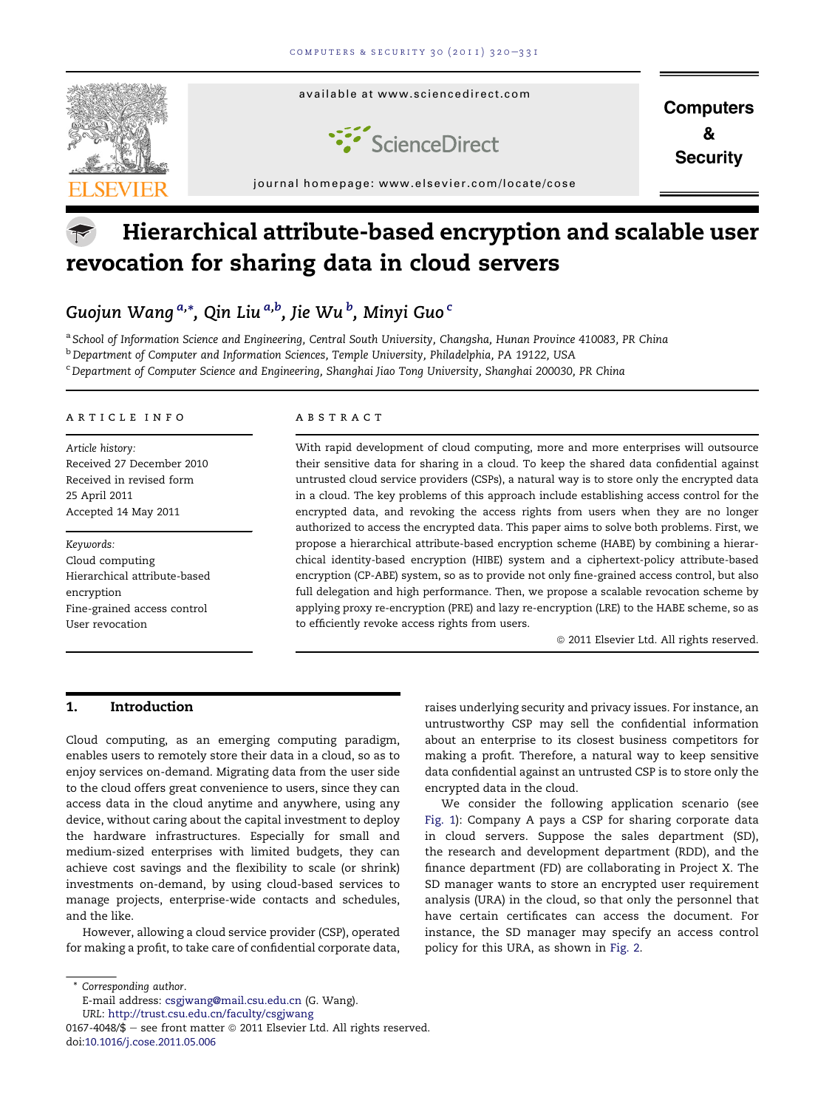

# Hierarchical attribute-based encryption and scalable user revocation for sharing data in cloud servers

Guojun Wang <sup>a,</sup>\*, Qin Liu <sup>a,b</sup>, Jie Wu <sup>b</sup>, Minyi Guo <sup>c</sup>

a School of Information Science and Engineering, Central South University, Changsha, Hunan Province 410083, PR China <sup>b</sup> Department of Computer and Information Sciences, Temple University, Philadelphia, PA 19122, USA <sup>c</sup> Department of Computer Science and Engineering, Shanghai Jiao Tong University, Shanghai 200030, PR China

## article info

Article history: Received 27 December 2010 Received in revised form 25 April 2011 Accepted 14 May 2011

Keywords: Cloud computing Hierarchical attribute-based encryption Fine-grained access control User revocation

# **ABSTRACT**

With rapid development of cloud computing, more and more enterprises will outsource their sensitive data for sharing in a cloud. To keep the shared data confidential against untrusted cloud service providers (CSPs), a natural way is to store only the encrypted data in a cloud. The key problems of this approach include establishing access control for the encrypted data, and revoking the access rights from users when they are no longer authorized to access the encrypted data. This paper aims to solve both problems. First, we propose a hierarchical attribute-based encryption scheme (HABE) by combining a hierarchical identity-based encryption (HIBE) system and a ciphertext-policy attribute-based encryption (CP-ABE) system, so as to provide not only fine-grained access control, but also full delegation and high performance. Then, we propose a scalable revocation scheme by applying proxy re-encryption (PRE) and lazy re-encryption (LRE) to the HABE scheme, so as to efficiently revoke access rights from users.

 $©$  2011 Elsevier Ltd. All rights reserved.

# 1. Introduction

Cloud computing, as an emerging computing paradigm, enables users to remotely store their data in a cloud, so as to enjoy services on-demand. Migrating data from the user side to the cloud offers great convenience to users, since they can access data in the cloud anytime and anywhere, using any device, without caring about the capital investment to deploy the hardware infrastructures. Especially for small and medium-sized enterprises with limited budgets, they can achieve cost savings and the flexibility to scale (or shrink) investments on-demand, by using cloud-based services to manage projects, enterprise-wide contacts and schedules, and the like.

However, allowing a cloud service provider (CSP), operated for making a profit, to take care of confidential corporate data,

raises underlying security and privacy issues. For instance, an untrustworthy CSP may sell the confidential information about an enterprise to its closest business competitors for making a profit. Therefore, a natural way to keep sensitive data confidential against an untrusted CSP is to store only the encrypted data in the cloud.

We consider the following application scenario (see [Fig. 1](#page-1-0)): Company A pays a CSP for sharing corporate data in cloud servers. Suppose the sales department (SD), the research and development department (RDD), and the finance department (FD) are collaborating in Project X. The SD manager wants to store an encrypted user requirement analysis (URA) in the cloud, so that only the personnel that have certain certificates can access the document. For instance, the SD manager may specify an access control policy for this URA, as shown in [Fig. 2](#page-1-0).

\* Corresponding author.

URL: <http://trust.csu.edu.cn/faculty/csgjwang>

E-mail address: [csgjwang@mail.csu.edu.cn](mailto:csgjwang@mail.csu.edu.cn) (G. Wang).

<sup>0167-4048/\$ -</sup> see front matter  $\odot$  2011 Elsevier Ltd. All rights reserved. doi:[10.1016/j.cose.2011.05.006](http://dx.doi.org/10.1016/j.cose.2011.05.006)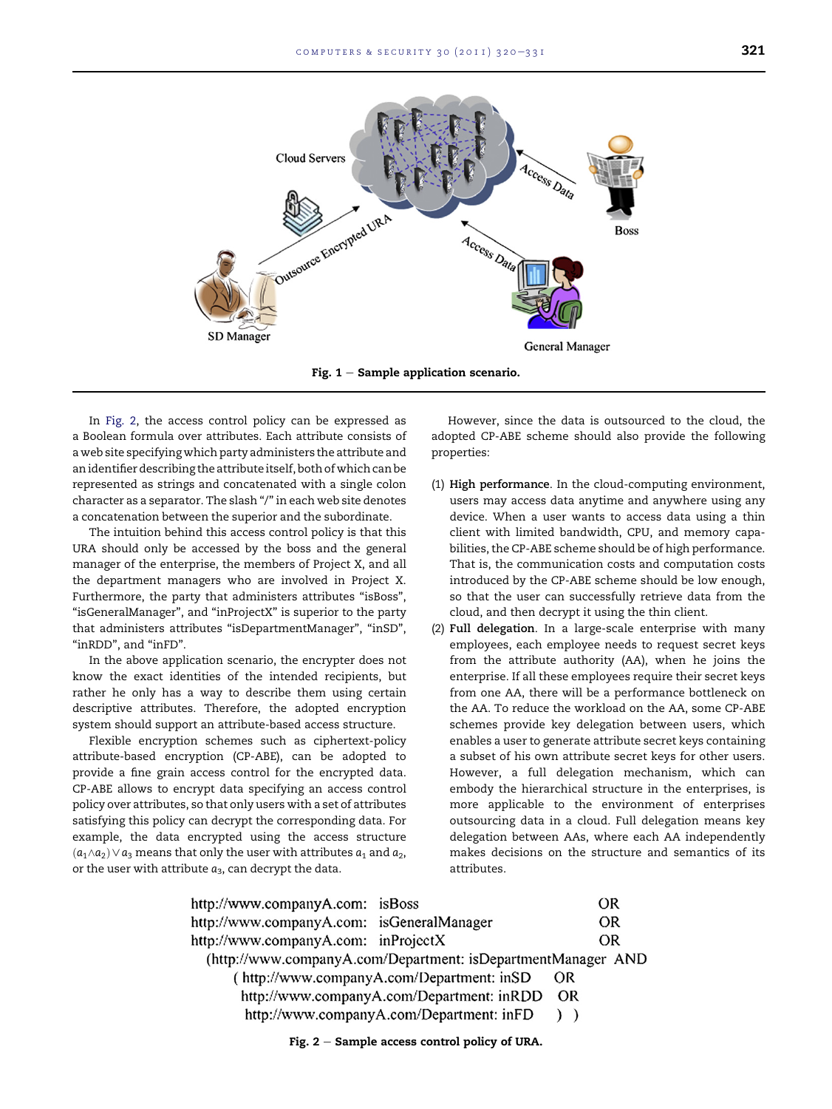<span id="page-1-0"></span>

Fig.  $1 -$  Sample application scenario.

In Fig. 2, the access control policy can be expressed as a Boolean formula over attributes. Each attribute consists of a web site specifying which party administers the attribute and an identifier describing the attribute itself, both of which can be represented as strings and concatenated with a single colon character as a separator. The slash "/" in each web site denotes a concatenation between the superior and the subordinate.

The intuition behind this access control policy is that this URA should only be accessed by the boss and the general manager of the enterprise, the members of Project X, and all the department managers who are involved in Project X. Furthermore, the party that administers attributes "isBoss", "isGeneralManager", and "inProjectX" is superior to the party that administers attributes "isDepartmentManager", "inSD", "inRDD", and "inFD".

In the above application scenario, the encrypter does not know the exact identities of the intended recipients, but rather he only has a way to describe them using certain descriptive attributes. Therefore, the adopted encryption system should support an attribute-based access structure.

Flexible encryption schemes such as ciphertext-policy attribute-based encryption (CP-ABE), can be adopted to provide a fine grain access control for the encrypted data. CP-ABE allows to encrypt data specifying an access control policy over attributes, so that only users with a set of attributes satisfying this policy can decrypt the corresponding data. For example, the data encrypted using the access structure  $(a_1 \wedge a_2) \vee a_3$  means that only the user with attributes  $a_1$  and  $a_2$ , or the user with attribute  $a_3$ , can decrypt the data.

However, since the data is outsourced to the cloud, the adopted CP-ABE scheme should also provide the following properties:

- (1) High performance. In the cloud-computing environment, users may access data anytime and anywhere using any device. When a user wants to access data using a thin client with limited bandwidth, CPU, and memory capabilities, the CP-ABE scheme should be of high performance. That is, the communication costs and computation costs introduced by the CP-ABE scheme should be low enough, so that the user can successfully retrieve data from the cloud, and then decrypt it using the thin client.
- (2) Full delegation. In a large-scale enterprise with many employees, each employee needs to request secret keys from the attribute authority (AA), when he joins the enterprise. If all these employees require their secret keys from one AA, there will be a performance bottleneck on the AA. To reduce the workload on the AA, some CP-ABE schemes provide key delegation between users, which enables a user to generate attribute secret keys containing a subset of his own attribute secret keys for other users. However, a full delegation mechanism, which can embody the hierarchical structure in the enterprises, is more applicable to the environment of enterprises outsourcing data in a cloud. Full delegation means key delegation between AAs, where each AA independently makes decisions on the structure and semantics of its attributes.

| http://www.companyA.com: isBoss                                                                                                     |  |    | <b>OR</b> |  |
|-------------------------------------------------------------------------------------------------------------------------------------|--|----|-----------|--|
| http://www.companyA.com: isGeneralManager                                                                                           |  |    | OR.       |  |
|                                                                                                                                     |  |    | OR.       |  |
| (http://www.companyA.com/Department: isDepartmentManager AND                                                                        |  |    |           |  |
|                                                                                                                                     |  | OR |           |  |
| http://www.companyA.com/Department: inRDD                                                                                           |  |    |           |  |
|                                                                                                                                     |  |    |           |  |
| http://www.companyA.com: inProjectX<br>(http://www.companyA.com/Department: inSD<br>OR.<br>http://www.companyA.com/Department: inFD |  |    |           |  |

Fig.  $2 -$  Sample access control policy of URA.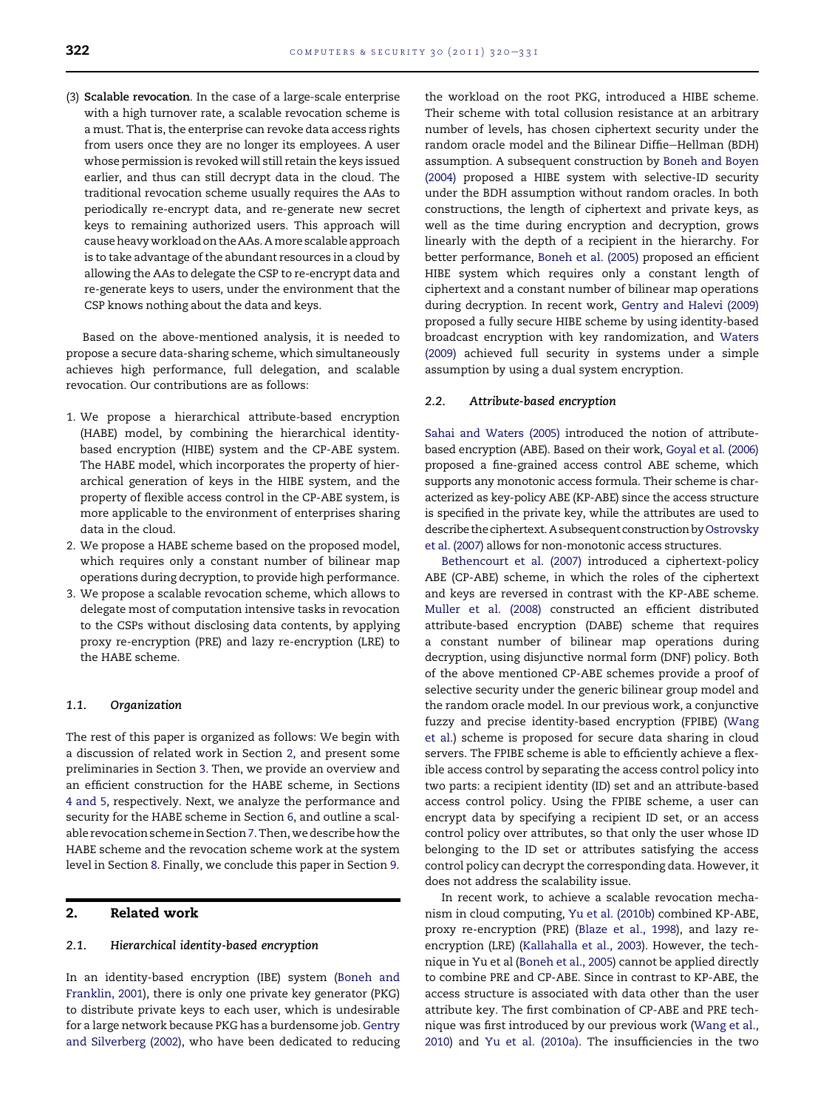(3) Scalable revocation. In the case of a large-scale enterprise with a high turnover rate, a scalable revocation scheme is a must. That is, the enterprise can revoke data access rights from users once they are no longer its employees. A user whose permission is revoked will still retain the keys issued earlier, and thus can still decrypt data in the cloud. The traditional revocation scheme usually requires the AAs to periodically re-encrypt data, and re-generate new secret keys to remaining authorized users. This approach will cause heavy workload on the AAs. Amore scalable approach is to take advantage of the abundant resources in a cloud by allowing the AAs to delegate the CSP to re-encrypt data and re-generate keys to users, under the environment that the CSP knows nothing about the data and keys.

Based on the above-mentioned analysis, it is needed to propose a secure data-sharing scheme, which simultaneously achieves high performance, full delegation, and scalable revocation. Our contributions are as follows:

- 1. We propose a hierarchical attribute-based encryption (HABE) model, by combining the hierarchical identitybased encryption (HIBE) system and the CP-ABE system. The HABE model, which incorporates the property of hierarchical generation of keys in the HIBE system, and the property of flexible access control in the CP-ABE system, is more applicable to the environment of enterprises sharing data in the cloud.
- 2. We propose a HABE scheme based on the proposed model, which requires only a constant number of bilinear map operations during decryption, to provide high performance.
- 3. We propose a scalable revocation scheme, which allows to delegate most of computation intensive tasks in revocation to the CSPs without disclosing data contents, by applying proxy re-encryption (PRE) and lazy re-encryption (LRE) to the HABE scheme.

## 1.1. Organization

The rest of this paper is organized as follows: We begin with a discussion of related work in Section 2, and present some preliminaries in Section [3](#page-3-0). Then, we provide an overview and an efficient construction for the HABE scheme, in Sections [4 and 5](#page-4-0), respectively. Next, we analyze the performance and security for the HABE scheme in Section [6](#page-5-0), and outline a scal-able revocation scheme in Section [7.](#page-6-0) Then, we describe how the HABE scheme and the revocation scheme work at the system level in Section [8.](#page-7-0) Finally, we conclude this paper in Section [9.](#page-8-0)

# 2. Related work

## 2.1. Hierarchical identity-based encryption

In an identity-based encryption (IBE) system ([Boneh and](#page-10-0) [Franklin, 2001](#page-10-0)), there is only one private key generator (PKG) to distribute private keys to each user, which is undesirable for a large network because PKG has a burdensome job. [Gentry](#page-10-0) [and Silverberg \(2002\)](#page-10-0), who have been dedicated to reducing

the workload on the root PKG, introduced a HIBE scheme. Their scheme with total collusion resistance at an arbitrary number of levels, has chosen ciphertext security under the random oracle model and the Bilinear Diffie-Hellman (BDH) assumption. A subsequent construction by [Boneh and Boyen](#page-10-0) [\(2004\)](#page-10-0) proposed a HIBE system with selective-ID security under the BDH assumption without random oracles. In both constructions, the length of ciphertext and private keys, as well as the time during encryption and decryption, grows linearly with the depth of a recipient in the hierarchy. For better performance, [Boneh et al. \(2005\)](#page-10-0) proposed an efficient HIBE system which requires only a constant length of ciphertext and a constant number of bilinear map operations during decryption. In recent work, [Gentry and Halevi \(2009\)](#page-10-0) proposed a fully secure HIBE scheme by using identity-based broadcast encryption with key randomization, and [Waters](#page-10-0) [\(2009\)](#page-10-0) achieved full security in systems under a simple assumption by using a dual system encryption.

## 2.2. Attribute-based encryption

[Sahai and Waters \(2005\)](#page-10-0) introduced the notion of attributebased encryption (ABE). Based on their work, [Goyal et al. \(2006\)](#page-10-0) proposed a fine-grained access control ABE scheme, which supports any monotonic access formula. Their scheme is characterized as key-policy ABE (KP-ABE) since the access structure is specified in the private key, while the attributes are used to describe the ciphertext. A subsequent construction by [Ostrovsky](#page-10-0) [et al. \(2007\)](#page-10-0) allows for non-monotonic access structures.

[Bethencourt et al. \(2007\)](#page-10-0) introduced a ciphertext-policy ABE (CP-ABE) scheme, in which the roles of the ciphertext and keys are reversed in contrast with the KP-ABE scheme. [Muller et al. \(2008\)](#page-10-0) constructed an efficient distributed attribute-based encryption (DABE) scheme that requires a constant number of bilinear map operations during decryption, using disjunctive normal form (DNF) policy. Both of the above mentioned CP-ABE schemes provide a proof of selective security under the generic bilinear group model and the random oracle model. In our previous work, a conjunctive fuzzy and precise identity-based encryption (FPIBE) ([Wang](#page-10-0) [et al.\)](#page-10-0) scheme is proposed for secure data sharing in cloud servers. The FPIBE scheme is able to efficiently achieve a flexible access control by separating the access control policy into two parts: a recipient identity (ID) set and an attribute-based access control policy. Using the FPIBE scheme, a user can encrypt data by specifying a recipient ID set, or an access control policy over attributes, so that only the user whose ID belonging to the ID set or attributes satisfying the access control policy can decrypt the corresponding data. However, it does not address the scalability issue.

In recent work, to achieve a scalable revocation mechanism in cloud computing, [Yu et al. \(2010b\)](#page-10-0) combined KP-ABE, proxy re-encryption (PRE) [\(Blaze et al., 1998](#page-10-0)), and lazy reencryption (LRE) [\(Kallahalla et al., 2003](#page-10-0)). However, the technique in Yu et al ([Boneh et al., 2005\)](#page-10-0) cannot be applied directly to combine PRE and CP-ABE. Since in contrast to KP-ABE, the access structure is associated with data other than the user attribute key. The first combination of CP-ABE and PRE technique was first introduced by our previous work [\(Wang et al.,](#page-10-0) [2010\)](#page-10-0) and [Yu et al. \(2010a\)](#page-10-0). The insufficiencies in the two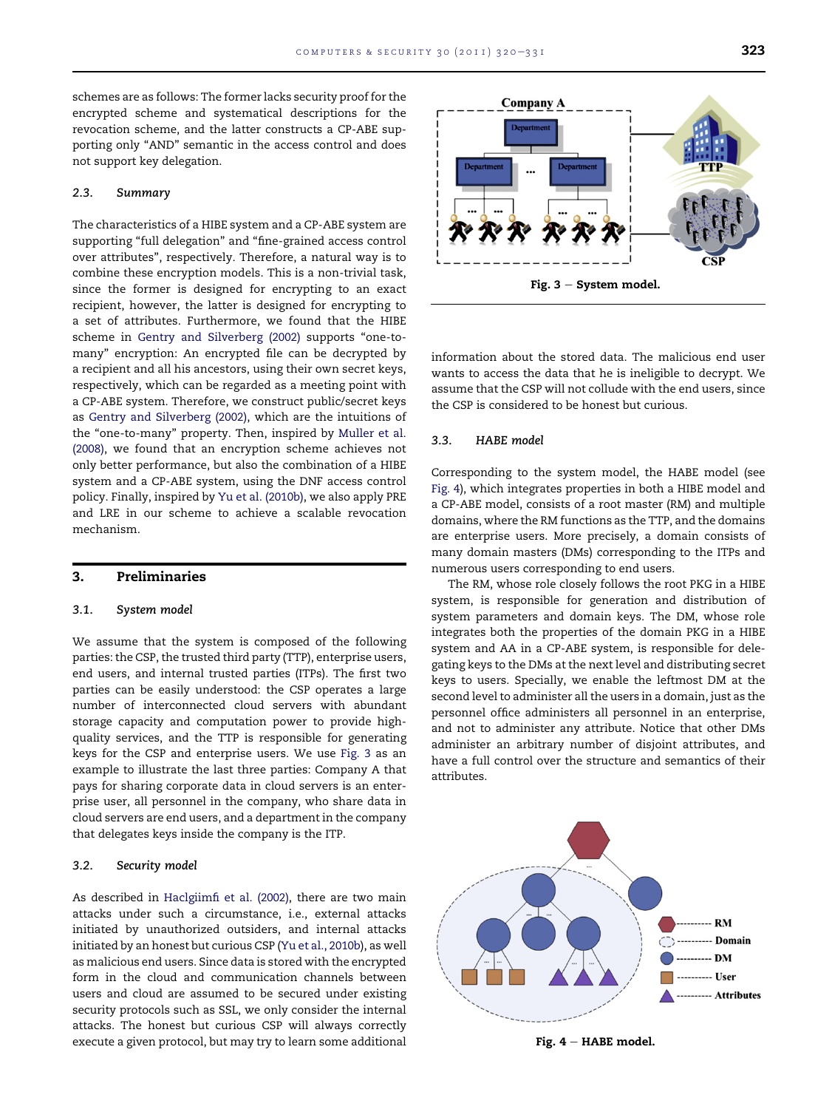<span id="page-3-0"></span>schemes are as follows: The former lacks security proof for the encrypted scheme and systematical descriptions for the revocation scheme, and the latter constructs a CP-ABE supporting only "AND" semantic in the access control and does not support key delegation.

## 2.3. Summary

The characteristics of a HIBE system and a CP-ABE system are supporting "full delegation" and "fine-grained access control over attributes", respectively. Therefore, a natural way is to combine these encryption models. This is a non-trivial task, since the former is designed for encrypting to an exact recipient, however, the latter is designed for encrypting to a set of attributes. Furthermore, we found that the HIBE scheme in [Gentry and Silverberg \(2002\)](#page-10-0) supports "one-tomany" encryption: An encrypted file can be decrypted by a recipient and all his ancestors, using their own secret keys, respectively, which can be regarded as a meeting point with a CP-ABE system. Therefore, we construct public/secret keys as [Gentry and Silverberg \(2002\),](#page-10-0) which are the intuitions of the "one-to-many" property. Then, inspired by [Muller et al.](#page-10-0) [\(2008\),](#page-10-0) we found that an encryption scheme achieves not only better performance, but also the combination of a HIBE system and a CP-ABE system, using the DNF access control policy. Finally, inspired by [Yu et al. \(2010b\)](#page-10-0), we also apply PRE and LRE in our scheme to achieve a scalable revocation mechanism.

# 3. Preliminaries

#### 3.1. System model

We assume that the system is composed of the following parties: the CSP, the trusted third party (TTP), enterprise users, end users, and internal trusted parties (ITPs). The first two parties can be easily understood: the CSP operates a large number of interconnected cloud servers with abundant storage capacity and computation power to provide highquality services, and the TTP is responsible for generating keys for the CSP and enterprise users. We use Fig. 3 as an example to illustrate the last three parties: Company A that pays for sharing corporate data in cloud servers is an enterprise user, all personnel in the company, who share data in cloud servers are end users, and a department in the company that delegates keys inside the company is the ITP.

# 3.2. Security model

As described in [Haclgiimfi et al. \(2002\),](#page-10-0) there are two main attacks under such a circumstance, i.e., external attacks initiated by unauthorized outsiders, and internal attacks initiated by an honest but curious CSP [\(Yu et al., 2010b](#page-10-0)), as well as malicious end users. Since data is stored with the encrypted form in the cloud and communication channels between users and cloud are assumed to be secured under existing security protocols such as SSL, we only consider the internal attacks. The honest but curious CSP will always correctly execute a given protocol, but may try to learn some additional



information about the stored data. The malicious end user wants to access the data that he is ineligible to decrypt. We assume that the CSP will not collude with the end users, since the CSP is considered to be honest but curious.

# 3.3. HABE model

Corresponding to the system model, the HABE model (see Fig. 4), which integrates properties in both a HIBE model and a CP-ABE model, consists of a root master (RM) and multiple domains, where the RM functions as the TTP, and the domains are enterprise users. More precisely, a domain consists of many domain masters (DMs) corresponding to the ITPs and numerous users corresponding to end users.

The RM, whose role closely follows the root PKG in a HIBE system, is responsible for generation and distribution of system parameters and domain keys. The DM, whose role integrates both the properties of the domain PKG in a HIBE system and AA in a CP-ABE system, is responsible for delegating keys to the DMs at the next level and distributing secret keys to users. Specially, we enable the leftmost DM at the second level to administer all the users in a domain, just as the personnel office administers all personnel in an enterprise, and not to administer any attribute. Notice that other DMs administer an arbitrary number of disjoint attributes, and have a full control over the structure and semantics of their attributes.



Fig.  $4 - HABE$  model.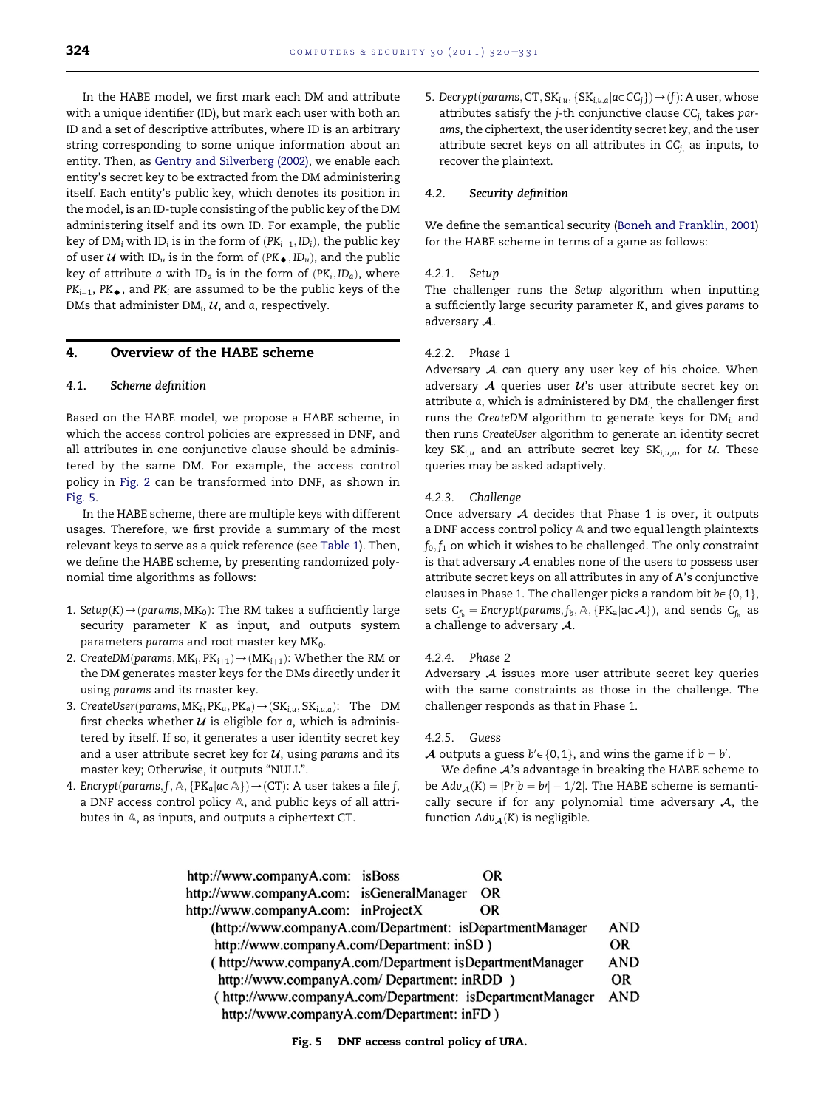<span id="page-4-0"></span>In the HABE model, we first mark each DM and attribute with a unique identifier (ID), but mark each user with both an ID and a set of descriptive attributes, where ID is an arbitrary string corresponding to some unique information about an entity. Then, as [Gentry and Silverberg \(2002\)](#page-10-0), we enable each entity's secret key to be extracted from the DM administering itself. Each entity's public key, which denotes its position in the model, is an ID-tuple consisting of the public key of the DM administering itself and its own ID. For example, the public key of DM<sub>i</sub> with ID<sub>i</sub> is in the form of  $(PK_{i-1}, ID_i)$ , the public key<br>of year *U* with ID, is in the form of  $(PK_{i-1}, ID_i)$ , and the public of user  $U$  with ID<sub>u</sub> is in the form of  $(PK_{\bullet}, ID_{u})$ , and the public key of attribute a with  $ID_a$  is in the form of  $(PK_i, ID_a)$ , where  $PK_{i-1}$ ,  $PK_{\bullet}$  , and  $PK_i$  are assumed to be the public keys of the DMs that administer DM<sub>i</sub>,  $U$ , and a, respectively.

# 4. Overview of the HABE scheme

## 4.1. Scheme definition

Based on the HABE model, we propose a HABE scheme, in which the access control policies are expressed in DNF, and all attributes in one conjunctive clause should be administered by the same DM. For example, the access control policy in [Fig. 2](#page-1-0) can be transformed into DNF, as shown in Fig. 5.

In the HABE scheme, there are multiple keys with different usages. Therefore, we first provide a summary of the most relevant keys to serve as a quick reference (see [Table 1](#page-5-0)). Then, we define the HABE scheme, by presenting randomized polynomial time algorithms as follows:

- 1. Setup(K)  $\rightarrow$  (params, MK<sub>0</sub>): The RM takes a sufficiently large security parameter K as input, and outputs system parameters params and root master key  $MK<sub>0</sub>$ .
- 2. CreateDM(params,  $MK_i, PK_{i+1}) \rightarrow (MK_{i+1})$ : Whether the RM or the DM generates master keys for the DMs directly under it using params and its master key.
- 3. CreateUser(params,  $MK_i, PK_u, PK_a) \rightarrow (SK_{i,u}, SK_{i,u,a})$ : The DM first checks whether  $U$  is eligible for a, which is administered by itself. If so, it generates a user identity secret key and a user attribute secret key for  $U$ , using params and its master key; Otherwise, it outputs "NULL".
- 4. Encrypt(params,  $f$ ,  $\mathbb{A}$ ,  $\{PK_a|a \in \mathbb{A}\}\rightarrow (CT)$ : A user takes a file  $f$ , a DNF access control policy A, and public keys of all attributes in A, as inputs, and outputs a ciphertext CT.

 $\overline{\phantom{a}}$ 

5. Decrypt(params, CT,  $SK_{i,u}$ , { $SK_{i,u,a} | a \in CC_j$ })  $\rightarrow$  (f): A user, whose attributes satisfy the j-th conjunctive clause  $CC_i$  takes params, the ciphertext, the user identity secret key, and the user attribute secret keys on all attributes in  $CC<sub>i</sub>$  as inputs, to recover the plaintext.

## 4.2. Security definition

We define the semantical security [\(Boneh and Franklin, 2001\)](#page-10-0) for the HABE scheme in terms of a game as follows:

#### 4.2.1. Setup

The challenger runs the Setup algorithm when inputting a sufficiently large security parameter K, and gives params to adversary A.

#### 4.2.2. Phase 1

Adversary  $A$  can query any user key of his choice. When adversary  $A$  queries user  $U$ 's user attribute secret key on attribute  $a$ , which is administered by  $DM<sub>i</sub>$ , the challenger first runs the CreateDM algorithm to generate keys for  $DM<sub>i</sub>$  and then runs CreateUser algorithm to generate an identity secret key SK<sub>i,u</sub> and an attribute secret key SK<sub>i,u,a</sub>, for U. These queries may be asked adaptively.

#### 4.2.3. Challenge

Once adversary  $A$  decides that Phase 1 is over, it outputs a DNF access control policy A and two equal length plaintexts  $f_0, f_1$  on which it wishes to be challenged. The only constraint is that adversary  $A$  enables none of the users to possess user attribute secret keys on all attributes in any of A's conjunctive clauses in Phase 1. The challenger picks a random bit  $b \in \{0, 1\}$ , sets  $C_{f_b} = \text{Encrypt}(params, f_b, \mathbb{A}, \{PK_a | a \in \mathcal{A}\})$ , and sends  $C_{f_b}$  as a challenge to adversary A.

#### 4.2.4. Phase 2

Adversary  $A$  issues more user attribute secret key queries with the same constraints as those in the challenge. The challenger responds as that in Phase 1.

#### 4.2.5. Guess

A outputs a guess  $b' \in \{0, 1\}$ , and wins the game if  $b = b'$ .<br>We define A's advantage in breaking the UAPE school.

We define  $A$ 's advantage in breaking the HABE scheme to be  $Adv_A(K) = |Pr[b = bl] - 1/2|$ . The HABE scheme is semanti-<br>colly segure if for ony polynomial time odynamy 4, the cally secure if for any polynomial time adversary  $A$ , the function  $Adv_{\mathcal{A}}(K)$  is negligible.

| http://www.companyA.com: isBoss                          | OR        |            |
|----------------------------------------------------------|-----------|------------|
| http://www.companyA.com: isGeneralManager                | <b>OR</b> |            |
| http://www.companyA.com: inProjectX                      | <b>OR</b> |            |
| (http://www.companyA.com/Department: isDepartmentManager |           | <b>AND</b> |
| http://www.companyA.com/Department: inSD)                |           | <b>OR</b>  |
| (http://www.companyA.com/Department isDepartmentManager  |           | <b>AND</b> |
| http://www.companyA.com/Department: inRDD)               |           | <b>OR</b>  |
| (http://www.companyA.com/Department: isDepartmentManager |           | AND        |
| http://www.companyA.com/Department: inFD )               |           |            |

Fig.  $5 - DNF$  access control policy of URA.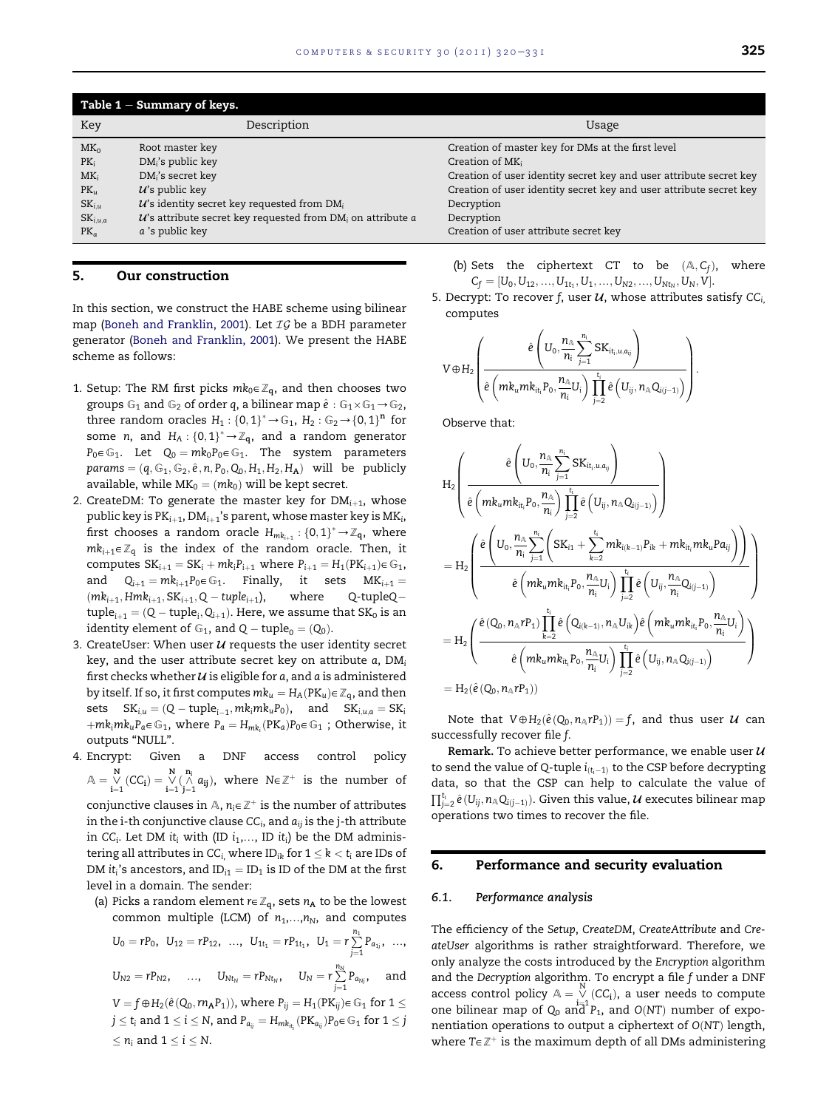<span id="page-5-0"></span>

| Table $1 -$ Summary of keys. |                                                                                     |                                                                    |  |  |  |
|------------------------------|-------------------------------------------------------------------------------------|--------------------------------------------------------------------|--|--|--|
| Key                          | Description                                                                         | Usage                                                              |  |  |  |
| MK <sub>0</sub>              | Root master key                                                                     | Creation of master key for DMs at the first level                  |  |  |  |
| $PK_i$                       | DM <sub>i</sub> 's public key                                                       | Creation of $MK_i$                                                 |  |  |  |
| $MK_i$                       | DM <sub>i</sub> 's secret key                                                       | Creation of user identity secret key and user attribute secret key |  |  |  |
| $PK_u$                       | $\mathcal{U}$ 's public key                                                         | Creation of user identity secret key and user attribute secret key |  |  |  |
| $SK_{i,u}$                   | $\mathcal{U}$ 's identity secret key requested from DM <sub>i</sub>                 | Decryption                                                         |  |  |  |
| $SK_{i,u,a}$                 | $\mathcal{U}$ 's attribute secret key requested from DM <sub>i</sub> on attribute a | Decryption                                                         |  |  |  |
| $PK_a$                       | a 's public key                                                                     | Creation of user attribute secret key                              |  |  |  |

## 5. Our construction

In this section, we construct the HABE scheme using bilinear map ([Boneh and Franklin, 2001](#page-10-0)). Let  $IG$  be a BDH parameter generator [\(Boneh and Franklin, 2001\)](#page-10-0). We present the HABE scheme as follows:

- 1. Setup: The RM first picks  $mk_0 \in \mathbb{Z}_q$ , and then chooses two groups  $\mathbb{G}_1$  and  $\mathbb{G}_2$  of order q, a bilinear map  $\hat{e}: \mathbb{G}_1 \times \mathbb{G}_1 \to \mathbb{G}_2$ ,<br>three renders are slee  $U_1, (0,1)^* \in \mathbb{G}_1$ , i.e.,  $(0,1)^n$  for three random oracles  $H_1: \{0,1\}^* \to \mathbb{G}_1$ ,  $H_2: \mathbb{G}_2 \to \{0,1\}^n$  for some *n*, and  $H_A$  : {0, 1}<sup>\*</sup>  $\rightarrow \mathbb{Z}_q$ , and a random generator  $P_0 \in \mathbb{G}_1$ . Let  $Q_0 = mk_0P_0 \in \mathbb{G}_1$ . The system parameters params =  $(q, \mathbb{G}_1, \mathbb{G}_2, \hat{e}, n, P_0, Q_0, H_1, H_2, H_A)$  will be publicly available, while  $MK_0 = (mk_0)$  will be kept secret.
- 2. CreateDM: To generate the master key for  $DM<sub>i+1</sub>$ , whose public key is  $PK_{i+1}$ , DM<sub>i+1</sub>'s parent, whose master key is MK<sub>i</sub>, first chooses a random oracle  $H_{mk_{i+1}} : \{0,1\}^* \to \mathbb{Z}_q$ , where<br>where  $\mathbb{Z}$  is the index of the random aracle. Then, it  $mk_{i+1} \in \mathbb{Z}_q$  is the index of the random oracle. Then, it computes  $SK_{i+1} = SK_i + mk_iP_{i+1}$  where  $P_{i+1} = H_1(PK_{i+1}) \in \mathbb{G}_1$ , and  $Q_{i+1} = mk_{i+1}P_0 \in \mathbb{G}_1$ . Finally, it sets  $MK_{i+1} = (mk_{i+1}, Hmk_{i+1}, SK_{i+1}, Q - tuple_{i+1}),$  where Q-tupleQ- $(mk_{i+1}, Hmk_{i+1}, SK_{i+1}, Q - tuple_{i+1}),$  $-tuple_{i+1}$ ), where Q-tupleQ-Q-tupleQtuple<sub>i+1</sub> =  $(Q - \text{tuple}_i, Q_{i+1})$ . Here, we assume that SK<sub>0</sub> is an identity element of  $C$  and  $Q$  tuple  $(Q, Q)$ identity element of  $\mathbb{G}_1$ , and  $Q$  – tuple $_0$  =  $(Q_0)$ .<br>Cuantal lasm Wham weavy  $\ell$  is expected by weavy.
- 3. CreateUser: When user  $U$  requests the user identity secret key, and the user attribute secret key on attribute  $a$ , DM<sub>i</sub> first checks whether  $U$  is eligible for a, and a is administered by itself. If so, it first computes  $mk_u = H_A(PK_u) \in \mathbb{Z}_q$ , and then sets  $SK_{i,u} = (Q - tuple_{i-1}, mk_i m k_u P_0)$ , and  $SK_{i,u,a} = SK_i$  $+mk_imk_uP_a \in \mathbb{G}_1$ , where  $P_a = H_{mk_i}(PK_a)P_0 \in \mathbb{G}_1$  ; Otherwise, it outputs "NULL".
- 4. Encrypt: Given a DNF access control policy  $\mathbb{A} = \bigvee_{i=1}^{N}$  $\bigvee_{i=1}^{N} (CC_i) = \bigvee_{i=1}^{N}$  $i=1$   $j=$  $n_i$  $\bigwedge_{j=1}^N a_{ij}$ ), where  $N \in \mathbb{Z}^+$  is the number of conjunctive clauses in  $A$ ,  $n_i \in \mathbb{Z}^+$  is the number of attributes in the i-th conjunctive clause  $CC_i$ , and  $a_{ij}$  is the j-th attribute

in CC<sub>i</sub>. Let DM it<sub>i</sub> with (ID  $i_1$ ,..., ID it<sub>i</sub>) be the DM administering all attributes in  $CC_i$ , where  $ID_{ik}$  for  $1 \leq k \leq t_i$  are IDs of DM it<sub>i</sub>'s ancestors, and  $ID_{i1} = ID_1$  is ID of the DM at the first level in a domain. The sender:

(a) Picks a random element  $r \in \mathbb{Z}_q$ , sets  $n_A$  to be the lowest common multiple (LCM) of  $n_1,...,n_N$ , and computes

$$
U_0 = rP_0, U_{12} = rP_{12}, ..., U_{1t_1} = rP_{1t_1}, U_1 = r\sum_{j=1}^{n_1} P_{a_{1j}}, ...,
$$
  
\n
$$
U_{N2} = rP_{N2}, ..., U_{Nt_N} = rP_{Nt_N}, U_N = r\sum_{j=1}^{n_N} P_{a_{Nj}}, \text{ and}
$$
  
\n
$$
V = f \oplus H_2(\hat{e}(Q_0, r_{n_1}P_1)), \text{ where } P_{ij} = H_1(PK_{ij}) \in \mathbb{G}_1 \text{ for } 1 \le j \le t_i \text{ and } 1 \le i \le N, \text{ and } P_{a_{ij}} = H_{mk_{it_i}}(PK_{a_{ij}})P_0 \in \mathbb{G}_1 \text{ for } 1 \le j
$$

 $\leq n_i$  and  $1 \leq i \leq N$ .

(b) Sets the ciphertext CT to be  $(A, C_f)$ , where  $C_f = [U_0, U_{12}, ..., U_{1t_1}, U_1, ..., U_{N2}, ..., U_{Nt_N}, U_N, V].$ 

5. Decrypt: To recover f, user  $U$ , whose attributes satisfy  $CC_i$ computes

$$
V \oplus H_2\left(\frac{\hat{e}\left(U_0,\frac{n_{\text{\tiny A}}}{n_i}\sum_{j=1}^{n_i}SK_{it_i,u,a_{ij}}\right)}{\hat{e}\left(mk_{u}mk_{it_i}P_0,\frac{n_{\text{\tiny A}}}{n_i}U_i\right)\prod_{j=2}^{t_i}\hat{e}\left(U_{ij},n_{\text{\tiny A}}Q_{i(j-1)}\right)}\right).
$$

Observe that:

$$
\begin{aligned} &H_{2}\left(\frac{\hat{e}\left(U_{0},\frac{n_{A}}{n_{i}}\sum_{j=1}^{n_{i}}SK_{it_{i},u,a_{ij}}\right)}{\hat{e}\left(mk_{u}mk_{it_{i}}P_{0},\frac{n_{A}}{n_{i}}\right)\displaystyle\prod_{j=2}^{t_{i}}\hat{e}\left(U_{ij},n_{A}Q_{i(j-1)}\right)}\right)\\ &=H_{2}\left(\frac{\hat{e}\left(U_{0},\frac{n_{A}}{n_{i}}\sum_{j=1}^{n_{i}}\left(SK_{i1}+\sum_{k=2}^{t_{i}}mk_{i(k-1)}P_{ik}+mk_{it_{i}}mk_{u}Pa_{ij}\right)\right)}{\hat{e}\left(mk_{u}mk_{it_{i}}P_{0},\frac{n_{A}}{n_{i}}U_{i}\right)\displaystyle\prod_{j=2}^{t_{i}}\hat{e}\left(U_{ij},\frac{n_{A}}{n_{i}}Q_{i(j-1)}\right)}\right)\\ &=H_{2}\left(\frac{\hat{e}\left(Q_{0},n_{A}rP_{1}\right)\displaystyle\prod_{k=2}^{t_{i}}\hat{e}\left(Q_{i(k-1)},n_{A}U_{ik}\right)\hat{e}\left(mk_{u}mk_{it_{i}}P_{0},\frac{n_{A}}{n_{i}}U_{i}\right)}{\hat{e}\left(mk_{u}mk_{it_{i}}P_{0},\frac{n_{A}}{n_{i}}U_{i}\right)\displaystyle\prod_{j=2}^{t_{i}}\hat{e}\left(U_{ij},n_{A}Q_{i(j-1)}\right)}\right)\\ &=H_{2}(\hat{e}\left(Q_{0},n_{A}rP_{1}) )\end{aligned}
$$

Note that  $V \oplus H_2(\hat{e}(Q_0, n_A r P_1)) = f$ , and thus user  $U$  can successfully recover file f.

Remark. To achieve better performance, we enable user  $U$ to send the value of Q-tuple  $i_{(t_i-1)}$  to the CSP before decrypting data, so that the CSP can help to calculate the value of  $\prod_{j=2}^{t_i} \hat{e}(U_{ij}, n_A Q_{i(j-1)}).$  Given this value,  $\mathcal U$  executes bilinear map operations two times to recover the file.

## 6. Performance and security evaluation

#### 6.1. Performance analysis

The efficiency of the Setup, CreateDM, CreateAttribute and CreateUser algorithms is rather straightforward. Therefore, we only analyze the costs introduced by the Encryption algorithm and the Decryption algorithm. To encrypt a file  $f$  under a DNF access control policy  $A = \frac{N}{2}(CC_i)$ , a user needs to compute one bilinear map of  $Q_0$  and  $P_1$ , and  $O(NT)$  number of expo-<br>numbering connection to submit a sink where of  $O(NT)$  langua nentiation operations to output a ciphertext of  $O(NT)$  length, where  $T \in \mathbb{Z}^+$  is the maximum depth of all DMs administering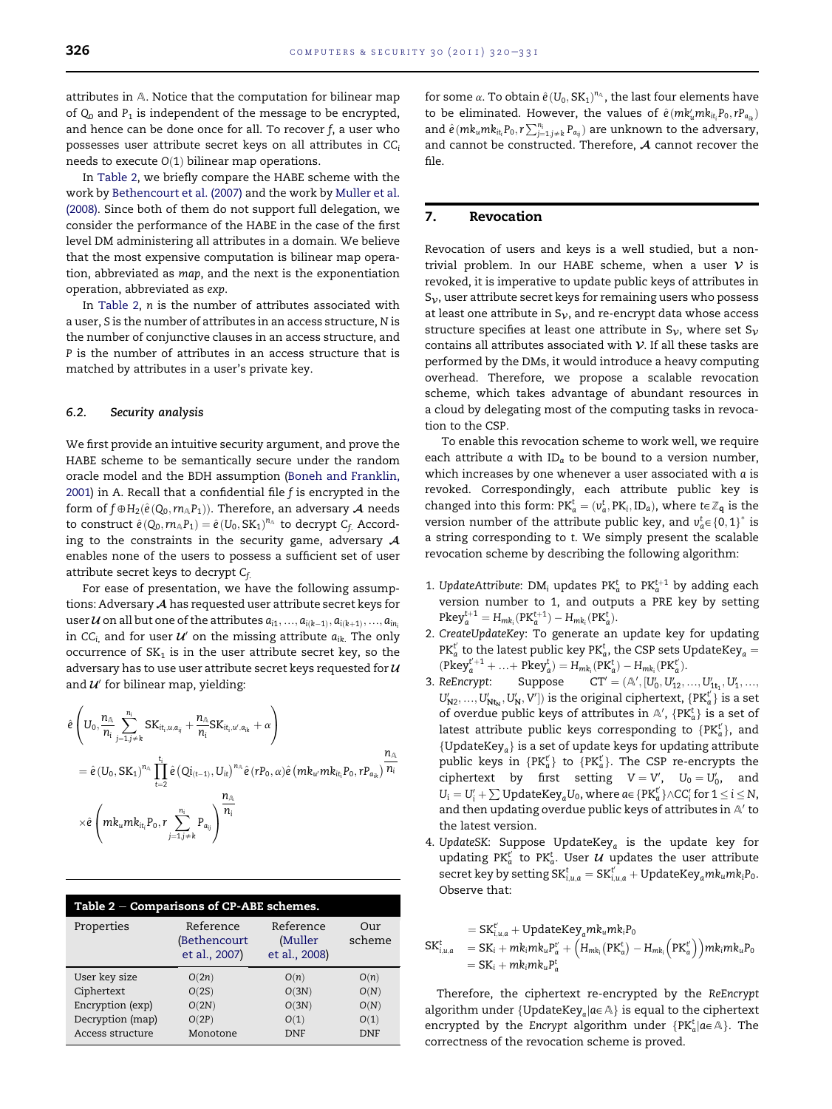<span id="page-6-0"></span>attributes in A. Notice that the computation for bilinear map of  $Q_0$  and  $P_1$  is independent of the message to be encrypted, and hence can be done once for all. To recover f, a user who possesses user attribute secret keys on all attributes in  $CC<sub>i</sub>$ needs to execute  $O(1)$  bilinear map operations.

In Table 2, we briefly compare the HABE scheme with the work by [Bethencourt et al. \(2007\)](#page-10-0) and the work by [Muller et al.](#page-10-0) [\(2008\).](#page-10-0) Since both of them do not support full delegation, we consider the performance of the HABE in the case of the first level DM administering all attributes in a domain. We believe that the most expensive computation is bilinear map operation, abbreviated as map, and the next is the exponentiation operation, abbreviated as exp.

In Table 2, n is the number of attributes associated with a user, S is the number of attributes in an access structure, N is the number of conjunctive clauses in an access structure, and P is the number of attributes in an access structure that is matched by attributes in a user's private key.

#### 6.2. Security analysis

We first provide an intuitive security argument, and prove the HABE scheme to be semantically secure under the random oracle model and the BDH assumption [\(Boneh and Franklin,](#page-10-0) [2001\)](#page-10-0) in A. Recall that a confidential file f is encrypted in the form of  $f \oplus H_2(\hat{e}(Q_0, m_A P_1))$ . Therefore, an adversary  $\mathcal A$  needs<br>the construct  $\hat{e}(Q_0, m_B)$ ,  $\hat{e}(U_0, G_0)$  and the decrease  $\hat{e}$ ,  $\hat{e}$  aread. to construct  $\hat{e}(Q_0, m_A P_1) = \hat{e}(U_0, SK_1)^{n_A}$  to decrypt  $C_f$ . Accord-<br>in the constraints in the sequence of discrepant 4. ing to the constraints in the security game, adversary  $A$ enables none of the users to possess a sufficient set of user attribute secret keys to decrypt  $C_f$ .

For ease of presentation, we have the following assumptions: Adversary  $A$  has requested user attribute secret keys for user  $u$  on all but one of the attributes  $a_{i1},...,a_{i(k-1)},a_{i(k+1)},...,a_{in}$ in CC<sub>i,</sub> and for user  $U'$  on the missing attribute  $a_{ik}$ . The only occurrence of  $SK_1$  is in the user attribute secret key, so the adversary has to use user attribute secret keys requested for  $\mathcal U$ and  $U'$  for bilinear map, yielding:

$$
\begin{aligned} &\hat{e}\left(U_{0},\frac{n_{\text{\tiny A}}}{n_{\text{\tiny i}}}\sum_{j=1,j\neq k}^{n_{\text{\tiny i}}}\text{SK}_{it_{\text{\tiny i}},u,a_{\text{\tiny j}}}+\frac{n_{\text{\tiny A}}}{n_{\text{\tiny i}}}\text{SK}_{it_{\text{\tiny i}},u',a_{\text{\tiny k}}}+\alpha\right)\\ &=\hat{e}\left(U_{0},\text{SK}_{1}\right)^{n_{\text{\tiny A}}}\prod_{t=2}^{t_{\text{\tiny i}}}\hat{e}\left(Qi_{(t-1)},U_{it}\right)^{n_{\text{\tiny A}}}\hat{e}\left(rP_{0},\alpha\right)\hat{e}\left(mk_{u'}mk_{it_{\text{\tiny i}}}P_{0},rP_{a_{\text{\tiny i}}}\right)\frac{n_{\text{\tiny A}}}{n_{\text{\tiny i}}}\\ &\times\hat{e}\left(mk_{u}mk_{it_{\text{\tiny i}}}P_{0},r\sum_{j=1,j\neq k}^{n_{\text{\tiny i}}}P_{a_{\text{\tiny j}}}\right)\frac{n_{\text{\tiny A}}}{n_{\text{\tiny i}}} \end{aligned}
$$

| Table $2$ – Comparisons of CP-ABE schemes. |                                            |                                       |               |  |  |  |  |
|--------------------------------------------|--------------------------------------------|---------------------------------------|---------------|--|--|--|--|
| Properties                                 | Reference<br>(Bethencourt<br>et al., 2007) | Reference<br>(Muller<br>et al., 2008) | Our<br>scheme |  |  |  |  |
| User key size                              | O(2n)                                      | O(n)                                  | O(n)          |  |  |  |  |
| Ciphertext                                 | O(2S)                                      | O(3N)                                 | O(N)          |  |  |  |  |
| Encryption (exp)                           | O(2N)                                      | O(3N)                                 | O(N)          |  |  |  |  |
| Decryption (map)                           | O(2P)                                      | O(1)                                  | O(1)          |  |  |  |  |
| Access structure                           | Monotone                                   | DNF                                   | DNF           |  |  |  |  |

for some  $\alpha$ . To obtain  $\hat{e}(U_0, SK_1)^{n_A}$ , the last four elements have<br>to be eliminated. However, the values of  $\hat{e}(m\mathbf{k}/m\mathbf{k}, \mathbf{R}, \mathbf{v}^B)$ to be eliminated. However, the values of  $\hat{e}(mk_u'mk_{it}P_0,rP_{a_k})$ and  $\hat{e}(mk_{\mu}mk_{\text{it}}P_0, r\sum_{j=1,j\neq k}^{n_i}P_{a_{ij}})$  are unknown to the adversary, and cannot be constructed. Therefore, A cannot recover the file.

# 7. Revocation

Revocation of users and keys is a well studied, but a nontrivial problem. In our HABE scheme, when a user  $\nu$  is revoked, it is imperative to update public keys of attributes in  $S_{\mathcal{V}}$ , user attribute secret keys for remaining users who possess at least one attribute in  $S_v$ , and re-encrypt data whose access structure specifies at least one attribute in  $S_v$ , where set  $S_v$ contains all attributes associated with  $\nu$ . If all these tasks are performed by the DMs, it would introduce a heavy computing overhead. Therefore, we propose a scalable revocation scheme, which takes advantage of abundant resources in a cloud by delegating most of the computing tasks in revocation to the CSP.

To enable this revocation scheme to work well, we require each attribute a with  $ID_a$  to be bound to a version number, which increases by one whenever a user associated with a is revoked. Correspondingly, each attribute public key is changed into this form:  $PK_a^t = (v_a^t, PK_i, ID_a)$ , where  $t \in \mathbb{Z}_q$  is the version number of the ottribute mublic leave and  $v^t = (0, 1)^*$  is version number of the attribute public key, and  $v_a^t \in \{0, 1\}^*$  is a string corresponding to t. We simply present the scalable revocation scheme by describing the following algorithm:

- 1. UpdateAttribute: DM<sub>i</sub> updates PK $_a^t$  to PK $_a^{t+1}$  by adding each version number to 1, and outputs a PRE key by setting  $Pkey_a^{t+1} = H_{mk_i}(PK_a^{t+1}) - H_{mk_i}(PK_a^t)$ .<br>CreateLindateKau, To generate an
- $\sum_{k=1}^{N} \sum_{a}^{N}$   $\sum_{i=1}^{N} \sum_{m}^{N}$   $\sum_{k=1}^{N} \sum_{m}^{N}$ .<br>2. CreateUpdateKey: To generate an update key for updating  $PK_a^t$  to the latest public key  $PK_a^t$ , the CSP sets UpdateKey<sub>a</sub> =  $(Pkey_{\alpha}^{t'+1} + ... + Pkey_{\alpha}^{t}) = H_{mk_i}(PK_{\alpha}^{t}) - H_{mk_i}(PK_{\alpha}^{t}).$
- 3. ReEncrypt: Suppose  $CT' = (A', [U'_0, U'_{12}, ..., U'_{1t_1}, U'_1, ..., U'_{N_2}, ..., U'_{N_N}, U'_N, V'])$  is the original ciphertext,  $\{PK_4^t\}$  is a set<br>of supplying within hours of ottributes in  $N_f$ . ( $DF_4^t$ ) is a set of  $[U'_0, U'_{12}, ..., U'_{1t_1}, U'_1, ...,$ of overdue public keys of attributes in  $A'$ ,  $\{PK_a^t\}$  is a set of latest attribute, such latest properties latest attribute public keys corresponding to  $\{PK_a^t\}$ , and<br> $(Hndet Kau)$  is a get of undate leve for undating attribute {UpdateKey<sub>a</sub>} is a set of update keys for updating attribute public keys in  $\{PK_{a}^{t'}\}$  to  $\{PK_{a}^{t'}\}$ . The CSP re-encrypts the ciphertext by first setting  $V = V', U_0 = U'_0,$  and<br>U<sub>0</sub> U<sub>0</sub> NU NU details in where  $\Omega$  W<sup>('</sup>) CC fand is all  $U_i = U'_i + \sum U$ pdateKey<sub>a</sub>U<sub>0</sub>, where a∈{PK<sup>t'</sup>} $\wedge$ CC'<sub>i</sub> for  $1 \le i \le N$ , and then updating overdue public keys of attributes in  $A'$  to the latest version.
- 4. UpdateSK: Suppose UpdateKey<sub>a</sub> is the update key for updating PK $_a^t$  to PK $_a^t$ . User  $\mathcal U$  updates the user attribute secret key by setting  $SK_{i,u,a}^t = SK_{i,u,a}^t + UpdateKey_amk_umk_iP_0$ . Observe that:

$$
= SK_{i,u,a}^{\epsilon} + UpdateKey_{a}mk_{u}mk_{i}P_{0}
$$
  
\n
$$
SK_{i,u,a}^{\epsilon} = SK_{i} + mk_{i}mk_{u}P_{a}^{\epsilon} + (H_{mk_{i}}(PK_{a}^{\epsilon}) - H_{mk_{i}}(PK_{a}^{\epsilon}))mk_{i}mk_{u}P_{0}
$$
  
\n
$$
= SK_{i} + mk_{i}mk_{u}P_{a}^{\epsilon}
$$

Therefore, the ciphertext re-encrypted by the ReEncrypt algorithm under {UpdateKey<sub>a</sub>| $a \in A$ } is equal to the ciphertext encrypted by the Encrypt algorithm under  $\{PK_a^t | a \in \mathbb{A}\}\$ . The correctness of the revocation scheme is proved.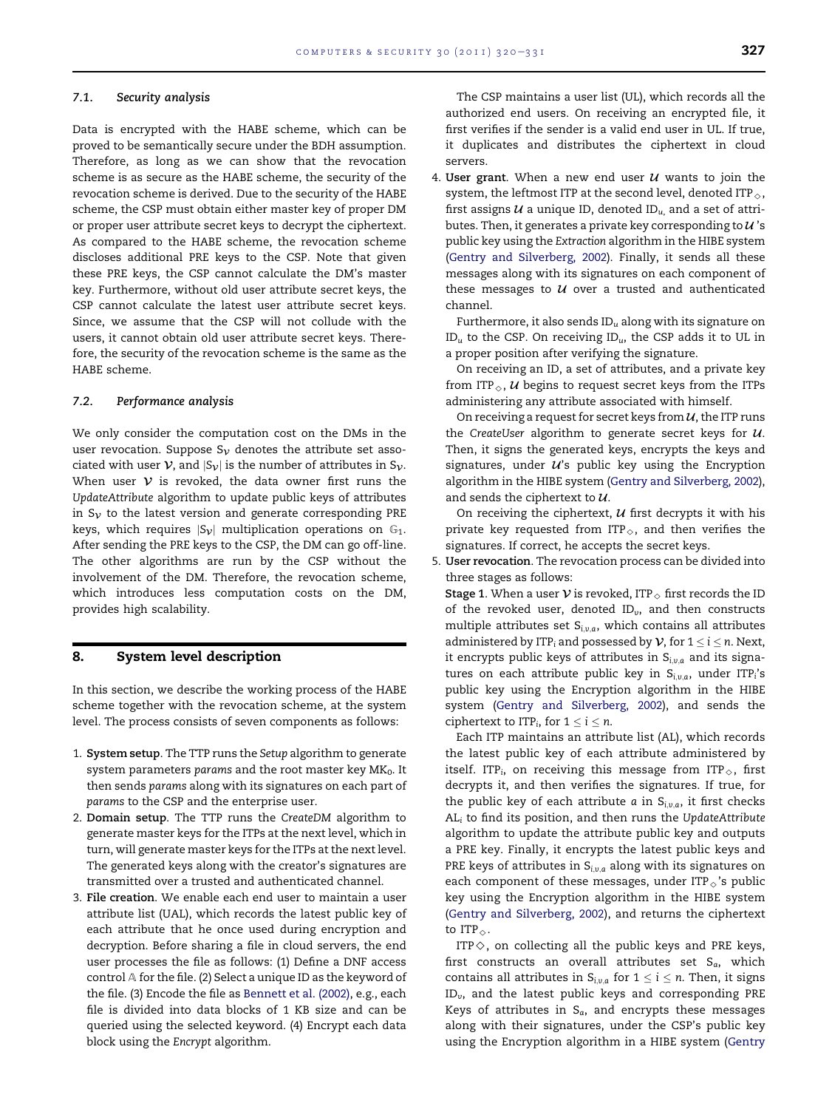#### <span id="page-7-0"></span>7.1. Security analysis

Data is encrypted with the HABE scheme, which can be proved to be semantically secure under the BDH assumption. Therefore, as long as we can show that the revocation scheme is as secure as the HABE scheme, the security of the revocation scheme is derived. Due to the security of the HABE scheme, the CSP must obtain either master key of proper DM or proper user attribute secret keys to decrypt the ciphertext. As compared to the HABE scheme, the revocation scheme discloses additional PRE keys to the CSP. Note that given these PRE keys, the CSP cannot calculate the DM's master key. Furthermore, without old user attribute secret keys, the CSP cannot calculate the latest user attribute secret keys. Since, we assume that the CSP will not collude with the users, it cannot obtain old user attribute secret keys. Therefore, the security of the revocation scheme is the same as the HABE scheme.

#### 7.2. Performance analysis

We only consider the computation cost on the DMs in the user revocation. Suppose  $S_{\mathcal{V}}$  denotes the attribute set associated with user  $V$ , and  $|S_V|$  is the number of attributes in  $S_V$ . When user  $\nu$  is revoked, the data owner first runs the UpdateAttribute algorithm to update public keys of attributes in  $S_v$  to the latest version and generate corresponding PRE keys, which requires  $|S_v|$  multiplication operations on  $\mathbb{G}_1$ . After sending the PRE keys to the CSP, the DM can go off-line. The other algorithms are run by the CSP without the involvement of the DM. Therefore, the revocation scheme, which introduces less computation costs on the DM, provides high scalability.

#### 8. System level description

In this section, we describe the working process of the HABE scheme together with the revocation scheme, at the system level. The process consists of seven components as follows:

- 1. System setup. The TTP runs the Setup algorithm to generate system parameters params and the root master key  $MK_0$ . It then sends params along with its signatures on each part of params to the CSP and the enterprise user.
- 2. Domain setup. The TTP runs the CreateDM algorithm to generate master keys for the ITPs at the next level, which in turn, will generate master keys for the ITPs at the next level. The generated keys along with the creator's signatures are transmitted over a trusted and authenticated channel.
- 3. File creation. We enable each end user to maintain a user attribute list (UAL), which records the latest public key of each attribute that he once used during encryption and decryption. Before sharing a file in cloud servers, the end user processes the file as follows: (1) Define a DNF access control A for the file. (2) Select a unique ID as the keyword of the file. (3) Encode the file as [Bennett et al. \(2002\),](#page-10-0) e.g., each file is divided into data blocks of 1 KB size and can be queried using the selected keyword. (4) Encrypt each data block using the Encrypt algorithm.

The CSP maintains a user list (UL), which records all the authorized end users. On receiving an encrypted file, it first verifies if the sender is a valid end user in UL. If true, it duplicates and distributes the ciphertext in cloud servers.

4. User grant. When a new end user  $U$  wants to join the system, the leftmost ITP at the second level, denoted ITP $_{\diamond}$ , first assigns  $U$  a unique ID, denoted ID<sub>u</sub> and a set of attributes. Then, it generates a private key corresponding to  $\mathcal{U}$ 's public key using the Extraction algorithm in the HIBE system ([Gentry and Silverberg, 2002](#page-10-0)). Finally, it sends all these messages along with its signatures on each component of these messages to  $U$  over a trusted and authenticated channel.

Furthermore, it also sends  $ID_u$  along with its signature on  $ID_u$  to the CSP. On receiving  $ID_u$ , the CSP adds it to UL in a proper position after verifying the signature.

On receiving an ID, a set of attributes, and a private key from ITP $_{\diamond}$ ,  $U$  begins to request secret keys from the ITPs administering any attribute associated with himself.

On receiving a request for secret keys from  $U$ , the ITP runs the CreateUser algorithm to generate secret keys for  $U$ . Then, it signs the generated keys, encrypts the keys and signatures, under  $u$ 's public key using the Encryption algorithm in the HIBE system [\(Gentry and Silverberg, 2002](#page-10-0)), and sends the ciphertext to  $U$ .

On receiving the ciphertext,  $U$  first decrypts it with his private key requested from ITP $_{\odot}$ , and then verifies the signatures. If correct, he accepts the secret keys.

5. User revocation. The revocation process can be divided into three stages as follows:

**Stage 1.** When a user  $\mathcal V$  is revoked, ITP<sub> $\diamond$ </sub> first records the ID of the revoked user, denoted  $ID_{\nu}$ , and then constructs multiple attributes set  $S_{i,v,a}$ , which contains all attributes administered by ITP<sub>i</sub> and possessed by  $\mathcal{V}$ , for  $1 \le i \le n$ . Next, it encrypts public keys of attributes in  $S_{i,v,a}$  and its signatures on each attribute public key in  $S_{i,v,a}$ , under ITP<sub>i</sub>'s public key using the Encryption algorithm in the HIBE system ([Gentry and Silverberg, 2002](#page-10-0)), and sends the ciphertext to ITP<sub>i</sub>, for  $1 \le i \le n$ .

Each ITP maintains an attribute list (AL), which records the latest public key of each attribute administered by itself. ITP<sub>i</sub>, on receiving this message from ITP $_{\diamond}$ , first decrypts it, and then verifies the signatures. If true, for the public key of each attribute  $a$  in  $S_{i,v,a}$ , it first checks  $AL_i$  to find its position, and then runs the UpdateAttribute algorithm to update the attribute public key and outputs a PRE key. Finally, it encrypts the latest public keys and PRE keys of attributes in  $S_{i,v,a}$  along with its signatures on each component of these messages, under ITP $_{\diamond}$ 's public key using the Encryption algorithm in the HIBE system [\(Gentry and Silverberg, 2002\)](#page-10-0), and returns the ciphertext to ITP $\circ$ .

ITP $\diamond$ , on collecting all the public keys and PRE keys, first constructs an overall attributes set  $S_a$ , which contains all attributes in  $S_{i,v,a}$  for  $1 \le i \le n$ . Then, it signs  $ID<sub>v</sub>$ , and the latest public keys and corresponding PRE Keys of attributes in  $S_a$ , and encrypts these messages along with their signatures, under the CSP's public key using the Encryption algorithm in a HIBE system [\(Gentry](#page-10-0)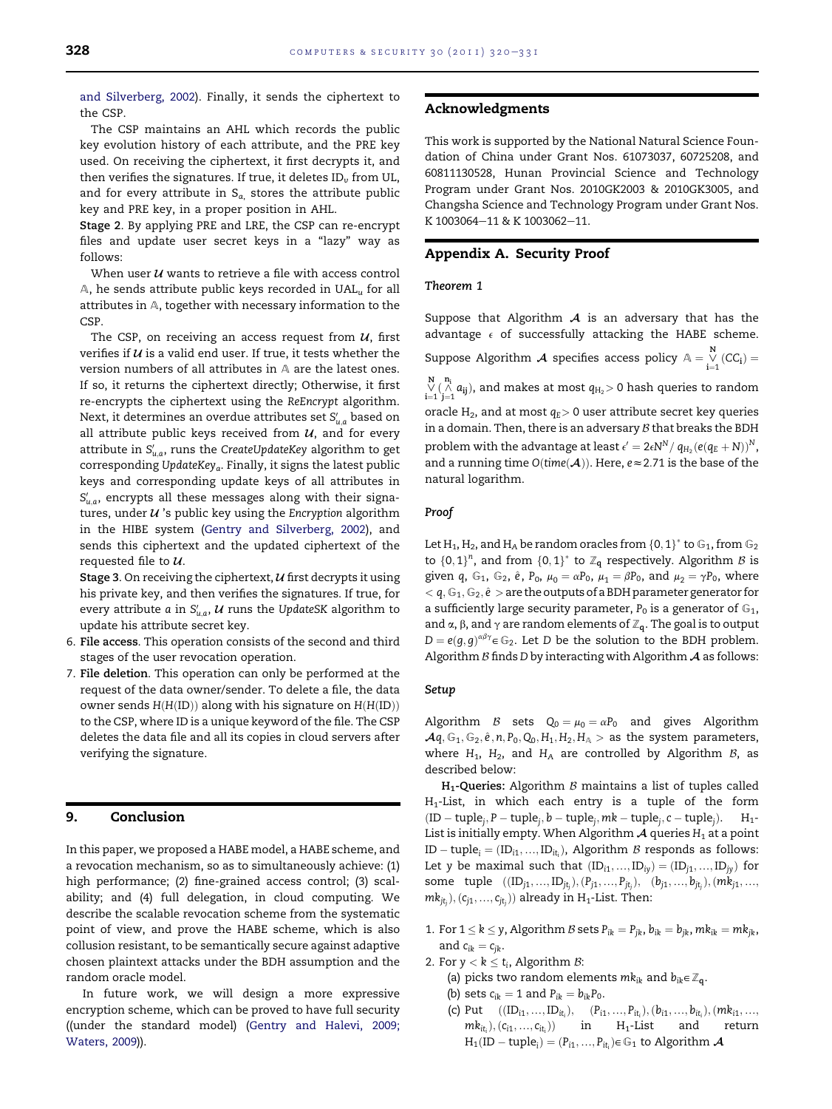<span id="page-8-0"></span>[and Silverberg, 2002\)](#page-10-0). Finally, it sends the ciphertext to the CSP.

The CSP maintains an AHL which records the public key evolution history of each attribute, and the PRE key used. On receiving the ciphertext, it first decrypts it, and then verifies the signatures. If true, it deletes  $ID<sub>v</sub>$  from UL, and for every attribute in  $S_{a}$ , stores the attribute public key and PRE key, in a proper position in AHL.

Stage 2. By applying PRE and LRE, the CSP can re-encrypt files and update user secret keys in a "lazy" way as follows:

When user  $U$  wants to retrieve a file with access control  $A$ , he sends attribute public keys recorded in UAL<sub>u</sub> for all attributes in A, together with necessary information to the CSP.

The CSP, on receiving an access request from  $U$ , first verifies if  $U$  is a valid end user. If true, it tests whether the version numbers of all attributes in A are the latest ones. If so, it returns the ciphertext directly; Otherwise, it first re-encrypts the ciphertext using the ReEncrypt algorithm. Next, it determines an overdue attributes set  $S_{u,a}^{\prime}$  based on all attribute public keys received from  $U$ , and for every attribute in  $S_{u,a}^{\prime}$ , runs the CreateUpdateKey algorithm to get corresponding UpdateKeya. Finally, it signs the latest public keys and corresponding update keys of all attributes in  ${\cal S}'_{u,a}$ , encrypts all these messages along with their signatures, under  $U$  's public key using the Encryption algorithm in the HIBE system [\(Gentry and Silverberg, 2002\)](#page-10-0), and sends this ciphertext and the updated ciphertext of the requested file to  $U$ .

Stage 3. On receiving the ciphertext,  $U$  first decrypts it using his private key, and then verifies the signatures. If true, for every attribute  $a$  in  $S_{u,a}^{\prime},$   ${\cal U}$  runs the UpdateSK algorithm to update his attribute secret key.

- 6. File access. This operation consists of the second and third stages of the user revocation operation.
- 7. File deletion. This operation can only be performed at the request of the data owner/sender. To delete a file, the data owner sends  $H(H(ID))$  along with his signature on  $H(H(ID))$ to the CSP, where ID is a unique keyword of the file. The CSP deletes the data file and all its copies in cloud servers after verifying the signature.

# 9. Conclusion

In this paper, we proposed a HABE model, a HABE scheme, and a revocation mechanism, so as to simultaneously achieve: (1) high performance; (2) fine-grained access control; (3) scalability; and (4) full delegation, in cloud computing. We describe the scalable revocation scheme from the systematic point of view, and prove the HABE scheme, which is also collusion resistant, to be semantically secure against adaptive chosen plaintext attacks under the BDH assumption and the random oracle model.

In future work, we will design a more expressive encryption scheme, which can be proved to have full security ((under the standard model) ([Gentry and Halevi, 2009;](#page-10-0) [Waters, 2009\)](#page-10-0)).

# Acknowledgments

This work is supported by the National Natural Science Foundation of China under Grant Nos. 61073037, 60725208, and 60811130528, Hunan Provincial Science and Technology Program under Grant Nos. 2010GK2003 & 2010GK3005, and Changsha Science and Technology Program under Grant Nos. K 1003064-11 & K 1003062-11.

# Appendix A. Security Proof

## Theorem 1

Suppose that Algorithm  $A$  is an adversary that has the advantage  $\epsilon$  of successfully attacking the HABE scheme.

Suppose Algorithm  $\boldsymbol{\mathcal{A}}$  specifies access policy  $\mathbb{A} = \bigvee_{i=1}^{N}$  $\bigvee_{i=1}$  (CC<sub>i</sub>) =

n N  $i=1$  j= ni  $\hat{a}_{ij}$ ), and makes at most  $q_{\rm H_2}>0$  hash queries to random<br>j=1

oracle H<sub>2</sub>, and at most  $q_E>0$  user attribute secret key queries in a domain. Then, there is an adversary  $\beta$  that breaks the BDH problem with the advantage at least  $\epsilon' = 2\epsilon N^N/\, q_H^2 \left(\frac{e(q_E+N)}{N}\right)^N$ , and a running time  $O(\text{time}(\mathcal{A}))$ . Here,  $e \approx 2.71$  is the base of the natural logarithm.

#### Proof

Let H<sub>1</sub>, H<sub>2</sub>, and H<sub>A</sub> be random oracles from  $\{0,1\}^*$  to  $\mathbb{G}_1$ , from  $\mathbb{G}_2$ to  $\{0, 1\}^n$ , and from  $\{0, 1\}^*$  to  $\mathbb{Z}_q$  respectively. Algorithm B is given q,  $\mathbb{G}_1$ ,  $\mathbb{G}_2$ ,  $\hat{e}$ ,  $P_0$ ,  $\mu_0 = \alpha P_0$ ,  $\mu_1 = \beta P_0$ , and  $\mu_2 = \gamma P_0$ , where  $< q, \mathbb{G}_1, \mathbb{G}_2, \hat{e} >$  are the outputs of a BDH parameter generator for a sufficiently large security parameter,  $P_0$  is a generator of  $\mathbb{G}_1$ , and  $\alpha$ ,  $\beta$ , and  $\gamma$  are random elements of  $\mathbb{Z}_q$ . The goal is to output  $D = e(g, g)^{\alpha\beta\gamma} \in \mathbb{G}_2$ . Let D be the solution to the BDH problem. Algorithm  $\beta$  finds D by interacting with Algorithm  $\mathcal A$  as follows:

#### Setup

Algorithm B sets  $Q_0 = \mu_0 = \alpha P_0$  and gives Algorithm  $\mathcal{A}q$ ,  $\mathbb{G}_1$ ,  $\mathbb{G}_2$ ,  $\hat{e}$ ,  $n$ ,  $P_0$ ,  $Q_0$ ,  $H_1$ ,  $H_2$ ,  $H_{\mathbb{A}} >$  as the system parameters, where  $H_1$ ,  $H_2$ , and  $H_A$  are controlled by Algorithm  $B$ , as described below:

 $H_1$ -Queries: Algorithm  $\beta$  maintains a list of tuples called  $H_1$ -List, in which each entry is a tuple of the form  $(D - tuple_j, P - tuple_j, b - tuple_j, mk - tuple_j, c - tuple_j)$  $H_1$ -List is initially empty. When Algorithm  $A$  queries  $H_1$  at a point  $ID - tuple_i = (ID_{i1}, ..., ID_{it_i})$ , Algorithm *B* responds as follows: Let y be maximal such that  $(ID_{i1},...,ID_{iy}) = (ID_{i1},...,ID_{iy})$  for some tuple  $((ID_{j1},...,ID_{jt_j}), (P_{j1},...,P_{jt_j}), (b_{j1},...,b_{jt_j}), (mk_{j1},...,k_{jt_j}),$  $\langle m k_{jt_j} \rangle, (c_{j1},...,c_{jt_j})$ ) already in  $\rm H_1\text{-}List.$  Then:

- 1. For  $1 \le k \le y$ , Algorithm B sets  $P_{ik} = P_{jk}$ ,  $b_{ik} = b_{jk}$ ,  $mk_{ik} = mk_{jk}$ , and  $c_{ik} = c_{ik}$ .
- 2. For  $y < k \le t_i$ , Algorithm B:
	- (a) picks two random elements  $mk_{ik}$  and  $b_{ik} \in \mathbb{Z}_q$ .
	- (b) sets  $c_{ik} = 1$  and  $P_{ik} = b_{ik}P_0$ .
	- (c) Put  $((ID_{i1},...,ID_{it_i}), (P_{i1},...,P_{it_i}), (b_{i1},...,b_{it_i}), (mk_{i1},...,k_{i1},...,k_{i1},...,k_{i1},...,k_{i1},...,k_{i1},...,k_{i1},...,k_{i1},...,k_{i1},...,k_{i1},...,k_{i1},...,k_{i1},...,k_{i1},...,k_{i1},...,k_{i1},...,k_{i1},...,k_{i1},...,k_{i1},...,k_{i1},...,k_{i1},...,k_{i1},...,k_{i1},...,k_{i1},...,k_{i1},...,k_{i1},...,k_{i1},...,k_{i1},...,k_{i1},...,k_{i1},...,k$  $mk_{it_i}$ ,  $(c_{i1},..., c_{it_i})$ )) in  $H_1$ -List and return  $H_1(ID - tuple_i) = (P_{i1}, ..., P_{it_i}) \in \mathbb{G}_1$  to Algorithm  $\mathcal A$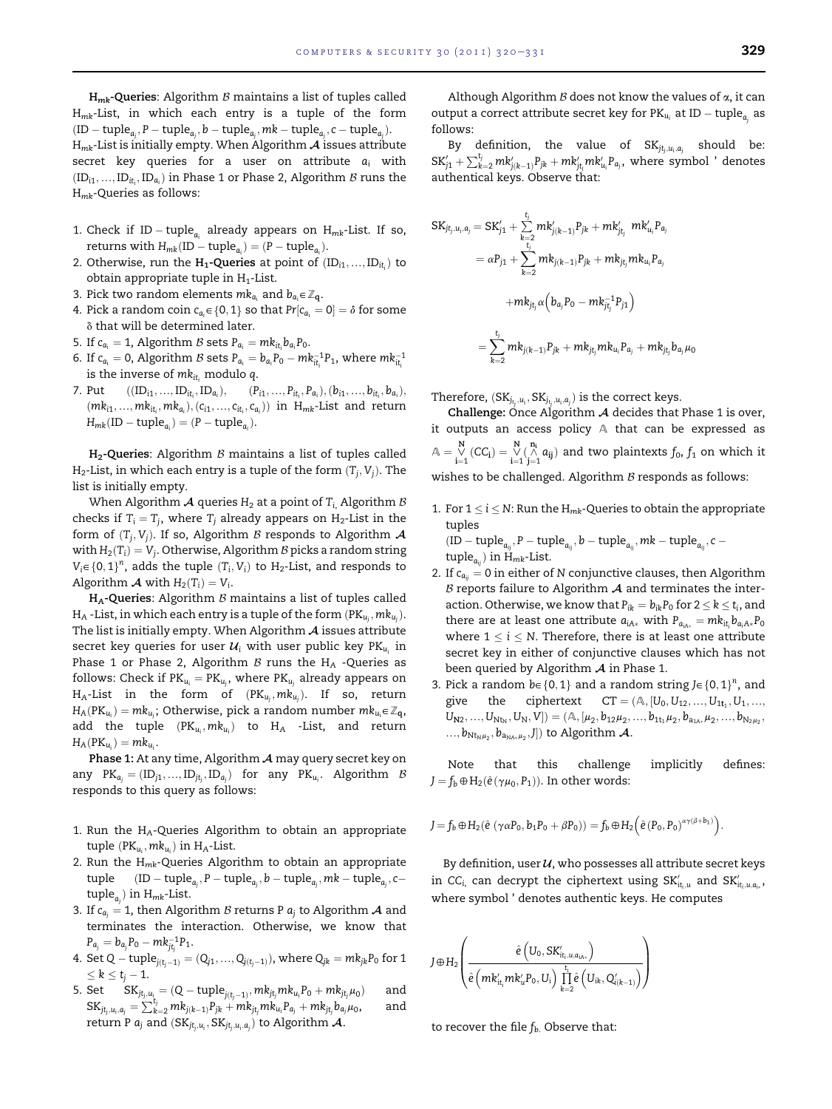$H_{mk}$ -Queries: Algorithm B maintains a list of tuples called  $H_{mk}$ -List, in which each entry is a tuple of the form (ID – tuple<sub>aj</sub>, P – tuple<sub>aj</sub>, b – tuple<sub>aj</sub>, mk – tuple<sub>aj</sub>, c – tuple<sub>aj</sub>).<br>Un sisterio initially amaty When Algorithm A issues attribu  $H_{mk}$ -List is initially empty. When Algorithm  $A$  issues attribute

secret key queries for a user on attribute  $a_i$  with  $\sum_{i=1}^N \sum_{i=1}^N \sum_{i=1}^N \sum_{i=1}^N \sum_{j=1}^N \sum_{j=1}^N \sum_{j=1}^N \sum_{j=1}^N \sum_{j=1}^N \sum_{j=1}^N \sum_{j=1}^N \sum_{j=1}^N \sum_{j=1}^N \sum_{j=1}^N \sum_{j=1}^N \sum_{j=1}^N \sum_{j=1}^N \sum_{j=1}^N \sum_{j=1}^N \sum_{j=1}^N \sum_{j=1}^N \sum_{j=1}^N \sum_{j=1}^N \sum_{j=1}^N \sum_{j$ Hmk-Queries as follows:

- 1. Check if ID tuple<sub>ai</sub> already appears on  $H_{mk}$ -List. If so, returns with  $H_{mk}(\text{ID} - \text{tuple}_{a_i}) = (P - \text{tuple}_{a_i}).$
- 2. Otherwise, run the  $H_1$ -Queries at point of  $(ID_{i1},...,ID_{it_i})$  to obtain appropriate tuple in  $H_1$ -List.
- 3. Pick two random elements  $m$ k $_{a_i}$  and  $b_{a_i}$  $\in$   $\mathbb{Z}_{\mathbf{q}}.$
- 4. Pick a random coin  $c_{a_i} \in \{0, 1\}$  so that  $Pr[c_{a_i} = 0] = \delta$  for some  $\delta$  that will be determined later.
- 5. If  $c_{a_i} = 1$ , Algorithm B sets  $P_{a_i} = mk_{it_i}b_{a_i}p_0$ .
- 6. If  $c_{a_i} = 0$ , Algorithm B sets  $P_{a_i} = b_{a_i}P_0 mk_{it_i}^{-1}P_1$ , where  $mk_{it_i}^{-1}$ is the inverse of  $mk_{it}$  modulo q.
- 7. Put  $((ID_{i1}, ..., ID_{it_i}, ID_{a_i}))$ ),  $(P_{i1}, ..., P_{it_i}, P_{a_i}), (b_{i1}, ..., b_{it_i}, b_{a_i}),$  $(mk_{i1},...,mk_{it_i},mk_{a_i}), (c_{i1},...,c_{it_i},c_{a_i}))$  in  $H_{mk}$ -List and return  $H_{mk}(\text{ID}-\text{tuple}_{a_i}) = (P - \text{tuple}_{a_i}).$

 $H_2$ -Queries: Algorithm  $\beta$  maintains a list of tuples called  $H_2$ -List, in which each entry is a tuple of the form  $(T_j, V_j)$ . The list is initially empty.

When Algorithm  $\mathcal A$  queries  $H_2$  at a point of  $T_i$ , Algorithm  $\mathcal B$ checks if  $T_i = T_j$ , where  $T_j$  already appears on  $H_2$ -List in the form of  $(T_i, V_j)$ . If so, Algorithm B responds to Algorithm A with  $H_2(T_i) = V_i$ . Otherwise, Algorithm B picks a random string  $V_i \in \{0, 1\}^n$ , adds the tuple  $(T_i, V_i)$  to H<sub>2</sub>-List, and responds to algorithm A with  $U(T) = V$ Algorithm  $\mathcal A$  with  $H_2(T_i) = V_i$ .

 $H_A$ -Queries: Algorithm  $\beta$  maintains a list of tuples called  $H_A$  -List, in which each entry is a tuple of the form  $(\mathbf{P}\mathbf{K}_{u_j},\bm{m}\mathbf{k}_{u_j}).$ The list is initially smarte. When Algorithm . A issues attribute The list is initially empty. When Algorithm  $A$  issues attribute secret key queries for user  $U_i$  with user public key PK<sub>ui</sub> in Phase 1 or Phase 2, Algorithm  $\beta$  runs the H<sub>A</sub> -Queries as follows: Check if  $PK_{u_i} = PK_{u_j}$ , where  $PK_{u_j}$  already appears on<br>If  $T_{u_i}$  in the form of (PK, mb), If as rature  $H_A$ -List in the form of  $(PK_{u_j}, m k_{u_j})$ . If so, return  $H_A(PK_{u_i}) = mk_{u_j}$ ; Otherwise, pick a random number  $mk_{u_i} \in \mathbb{Z}_q$ , add the tuple  $(\text{PK}_{u_i}, m\textit{k}_{u_i})$  to  $H_A$  -List, and return<br>U (DK ) …k  $H_A(PK_{u_i}) = m k_{u_i}.$ 

**Phase 1:** At any time, Algorithm  $A$  may query secret key on any  $PK_{a_j} = (ID_{j1}, ..., ID_{jt_j}, ID_{a_j})$  for any  $PK_{u_i}$ . Algorithm B responds to this query as follows:

- 1. Run the  $H_A$ -Queries Algorithm to obtain an appropriate  $\text{tuple (PK}_{u_i}, mk_{u_i}) \text{ in } H_A\text{-List.}$
- 2. Run the  $H_{mk}$ -Queries Algorithm to obtain an appropriate tuple  $(ID - tuple_{a_j}, P - tuple_{a_j}, b - tuple_{a_j}, mk - tuple_{a_j}, c$ tuple<sub>aj</sub>) in H<sub>mk</sub>-List.<br>If in 1 than Alpe
- 3. If  $c_{a_i} = 1$ , then Algorithm B returns P  $a_j$  to Algorithm A and terminates the interaction. Otherwise, we know that  $P_{a_j} = b_{a_j} P_0 - m k_{jt_j}^{-1} P_1.$
- 4. Set Q tuple<sub>j(tj-1)</sub> =  $(Q_{j1},...,Q_{j(t_j-1)}),$  where  $Q_{jk} = mk_{jk}P_0$  for 1  $\leq k \leq t_j - 1.$
- 5. Set  $SK_{jt_j, u_i} = (Q tuple_{j(t_j-1)}, mk_{jt_j} m k_{u_i} P_0 + mk_{jt_j} u_0)$  and  $SK_{jt_i,u_i,a_j} = \sum_{k=2}^{t_j} m k_{j(k-1)} P_{jk} + m k_{jt_j} m k_{u_i} P_{a_j} + m k_{jt_j} b_{a_j} \mu_0,$  and return P  $a_j$  and  $(\text{SK}_{jt_j,u_i},\text{SK}_{jt_j,u_i,a_j})$  to Algorithm  $\mathcal{A}.$

Although Algorithm  $\beta$  does not know the values of  $\alpha$ , it can output a correct attribute secret key for PK<sub>ui</sub> at ID – tuple<sub>aj</sub> as<br>follower follows:

By definition, the value of  $SK_{jt_i,u_i,a_i}$  should be:  $SK'_{j1} + \sum_{k=2}^{t_j} mk'_{j(k-1)}P_{jk} + mk'_{j}m k'_{k}P_{a_j}$ , where symbol ' denotes  $\sum_{k=2}^{K} \sum_{k=2}^{K} (k-1)^{k} j^{k} + \sum_{j}^{K} j^{K}$ <br>authentical keys. Observe that:

$$
\begin{aligned} \text{SK}_{jt_j,u_i,a_j} &= \text{SK}'_{j1} + \sum_{k=2}^{t_j} mk'_{j(k-1)} P_{jk} + mk'_{jt_j} \ m k'_{u_i} P_{a_j} \\ &= \alpha P_{j1} + \sum_{k=2}^{t_j} mk_{j(k-1)} P_{jk} + mk_{jt_j} m k_{u_i} P_{a_j} \\ &\quad + mk_{jt_j} \alpha \Big(b_{a_j} P_0 - mk_{jt_j}^{-1} P_{j1}\Big) \\ &= \sum_{k=2}^{t_j} mk_{j(k-1)} P_{jk} + mk_{jt_j} m k_{u_i} P_{a_j} + mk_{jt_j} b_{a_j} \mu_0 \end{aligned}
$$

Therefore,  $(SK_{j_{t_j},u_i}, SK_{j_{t_j},u_i,a_j})$  is the correct keys.<br>Challenges Once Algorithms A davides that

Challenge: Once Algorithm  $A$  decides that Phase 1 is over, it outputs an access policy A that can be expressed as  $\mathbb{A} = \underset{\mathbf{i}=1}{\overset{\mathbf{N}}{\vee}}$  $\bigvee_{i=1}^{N} (CC_i) = \bigvee_{i=1}^{N}$  $i=1$  j=  $\mathbf{n}_\mathrm{i}$  $\bigwedge_{j=1}^N a_{ij}$ ) and two plaintexts  $f_0, f_1$  on which it wishes to be challenged. Algorithm  $\beta$  responds as follows:

1. For  $1 \le i \le N$ : Run the H<sub>mk</sub>-Queries to obtain the appropriate tuples  $(\text{ID}-\text{tuple}_{a_{ij}}, P - \text{tuple}_{a_{ij}}, b - \text{tuple}_{a_{ij}}, mk - \text{tuple}_{a_{ij}}, c - \text{true}$ 

tuple $_{a_{ij}}$ ) in H<sub>mk</sub>-List.<br>If a color aither a

- 2. If  $c_{a_{ii}} = 0$  in either of N conjunctive clauses, then Algorithm  $\beta$  reports failure to Algorithm  $\mathcal A$  and terminates the interaction. Otherwise, we know that  $P_{ik} = b_{ik}P_0$  for  $2 \le k \le t_i$ , and there are at least one attribute  $a_{iA*}$  with  $P_{a_{iA*}} = mk_{it}b_{a_{i}A*}P_{t}$ where  $1 \le i \le N$ . Therefore, there is at least one attribute secret key in either of conjunctive clauses which has not been queried by Algorithm  $A$  in Phase 1.
- 3. Pick a random  $b \in \{0, 1\}$  and a random string  $J \in \{0, 1\}^n$ , and give the ciphertext  $CT = (A, [U_0, U_{12}, ..., U_{1t_1}, U_1, ...,$  $U_{N2},...,U_{Nt_N},U_N,V]) = (A, [\mu_2, b_{12}\mu_2,...,b_{1t_1}\mu_2,b_{a_{1A*}}\mu_2,...,b_{N_2\mu_2},$  $..., b_{Nt_N\mu_2}, b_{a_{NAs}\mu_2}, J])$  to Algorithm A.

Note that this challenge implicitly defines:  $J = f_b \oplus H_2(\hat{e}(\gamma \mu_0, P_1))$ . In other words:

$$
J=f_b\oplus H_2(\hat{e}(\gamma\alpha P_0,b_1P_0+\beta P_0))=f_b\oplus H_2(\hat{e}(P_0,P_0)^{\alpha\gamma(\beta+b_1)})\,.
$$

By definition, user  $u$ , who possesses all attribute secret keys in CC<sub>i,</sub> can decrypt the ciphertext using  $SK'_{it_i,u}$  and  $SK'_{it_i,u,a_{i_*}}$ , where symbol ' denotes authentic keys. He computes

$$
J\oplus H_2\left(\frac{\hat{e}\left(U_0,SK'_{it_i,u,\alpha_{iA*}}\right)}{\hat{e}\left(mk'_{it_i}mk'_uP_0,U_i\right)\prod\limits_{k=2}^{t_i}\hat{e}\left(U_{ik},Q'_{i(k-1)}\right)}\right)
$$

to recover the file  $f_b$ . Observe that: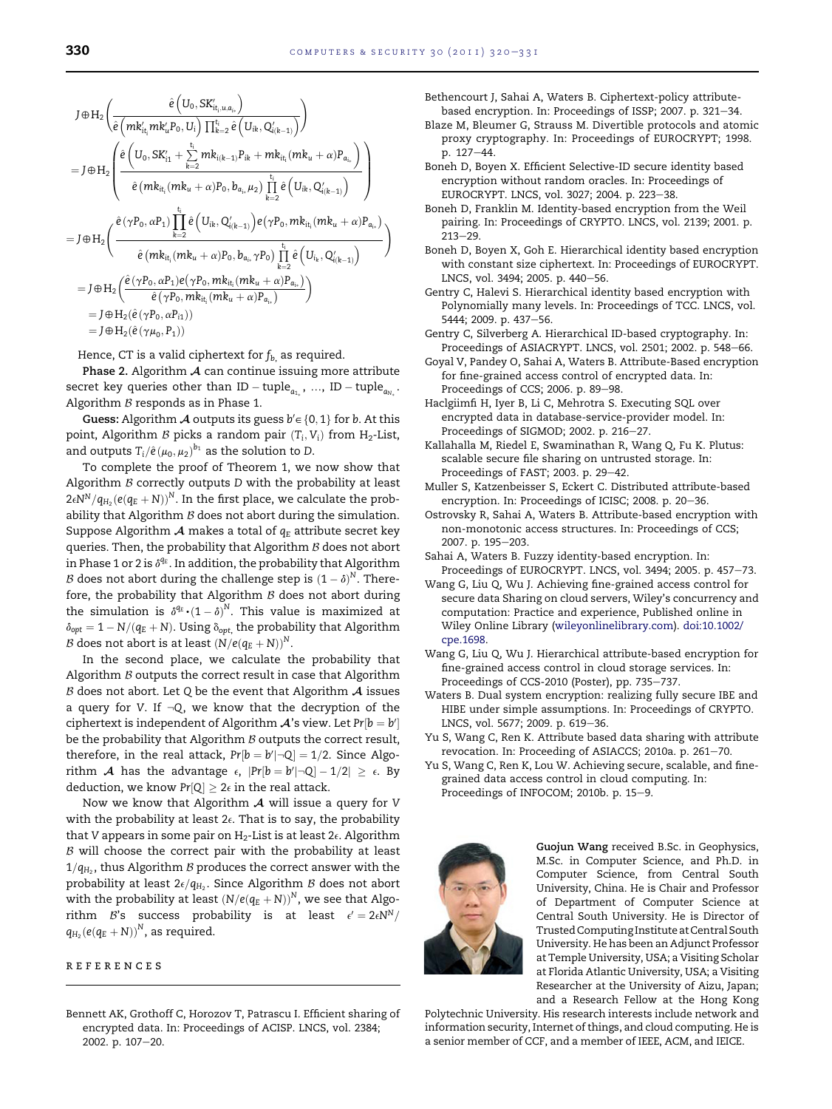<span id="page-10-0"></span>
$$
J\oplus H_{2}\Bigg(\frac{\hat{e}\left(U_{0},SK_{it_{1},u,a_{i_{*}}}'\right)}{\hat{e}\left(mk_{it_{1}}'mk_{u}'P_{0},U_{i}\right)\prod_{k=2}^{t_{k}}\hat{e}\left(U_{ik},Q_{i(k-1)}'\right)}\Bigg)\\=J\oplus H_{2}\Bigg(\frac{\hat{e}\left(U_{0},SK_{i1}'+\sum\limits_{k=2}^{t_{i}}mk_{i(k-1)}P_{ik}+mk_{it_{i}}(mk_{u}+\alpha)P_{a_{i_{*}}}\right)}{\hat{e}\left(mk_{it_{1}}(mk_{u}+\alpha)P_{0},b_{a_{i_{*}}}\mu_{2}\right)\prod\limits_{k=2}^{t_{i}}\hat{e}\left(U_{ik},Q_{i(k-1)}'\right)}\Bigg)\\=J\oplus H_{2}\Bigg(\frac{\hat{e}\left(\gamma P_{0},\alpha P_{1}\right)\prod\limits_{k=2}^{t_{i}}\hat{e}\left(U_{ik},Q_{i(k-1)}'\right)e\left(\gamma P_{0},mk_{it_{i}}(mk_{u}+\alpha)P_{a_{i_{*}}}\right)}{\hat{e}\left(mk_{it_{i}}(mk_{u}+\alpha)P_{0},b_{a_{i_{*}}}\gamma P_{0}\right)\prod\limits_{k=2}^{t_{i}}\hat{e}\left(U_{i_{k}},Q_{i(k-1)}'\right)}\Bigg)\\=J\oplus H_{2}\Bigg(\frac{\hat{e}\left(\gamma P_{0},\alpha P_{1}\right)e\left(\gamma P_{0},mk_{it_{i}}(mk_{u}+\alpha)P_{a_{i_{*}}}\right)}{\hat{e}\left(\gamma P_{0},mk_{it_{i}}(mk_{u}+\alpha)P_{a_{i_{*}}}\right)}\Bigg)\\=J\oplus H_{2}(\hat{e}\left(\gamma P_{0},\alpha P_{1})\right)\\=J\oplus H_{2}(\hat{e}\left(\gamma P_{0},P_{1})\right)\\
$$

Hence, CT is a valid ciphertext for  $f<sub>b</sub>$ , as required.

**Phase 2.** Algorithm  $A$  can continue issuing more attribute secret key queries other than ID – tuple<sub>a<sub>1</sub></sub>, ..., ID – tuple<sub>a<sub>N</sub>, ...<br>Algorithm *P* recogned as in Phase 1</sub> Algorithm  $\beta$  responds as in Phase 1.

**Guess:** Algorithm  $\mathcal A$  outputs its guess  $b' \in \{0, 1\}$  for b. At this<br>nt. Algorithm  $B$  picks a random poir  $(T, V)$  from H. List. point, Algorithm B picks a random pair  $(T_i, V_i)$  from H<sub>2</sub>-List, and outputs  $T_i/e(\mu_0, \mu_2)^{b_1}$  as the solution to D.<br>To somplete the proof of Theorem 1 we

To complete the proof of Theorem 1, we now show that Algorithm  $\beta$  correctly outputs D with the probability at least  $2\epsilon N^N/q_H$  (e(q<sub>E</sub> + N))<sup>N</sup>. In the first place, we calculate the probability that Algorithm  $B$  does not abort during the simulation. Suppose Algorithm  $\mathcal A$  makes a total of  $q_E$  attribute secret key queries. Then, the probability that Algorithm  $B$  does not abort in Phase 1 or 2 is  $\delta^{q_E}$ . In addition, the probability that Algorithm B does not abort during the challenge step is  $(1 - \delta)^N$ . There-<br>face, the qualitation that Algorithm B does not about during fore, the probability that Algorithm  $\beta$  does not abort during the simulation is  $\delta^{q_E} \cdot (1 - \delta)^N$ . This value is maximized at  $\delta_{opt} = 1 - N/(q_E + N)$ . Using  $\delta_{opt}$ , the probability that Algorithm B does not abort is at least  $(N/e(q_E + N))^N$ .

In the second place, we calculate the probability that Algorithm  $\beta$  outputs the correct result in case that Algorithm  $\beta$  does not abort. Let Q be the event that Algorithm  $\mathcal A$  issues a query for V. If  $\neg Q$ , we know that the decryption of the ciphertext is independent of Algorithm  $A$ 's view. Let Pr[b = b'] be the probability that Algorithm B outputs the correct result,<br>therefore, in the real attack,  $\Pr[h_{\text{e}}|k|] \Omega_{\text{e}}$ ,  $1/2$ , Since Algorithm therefore, in the real attack,  $Pr[b = b' | \neg Q] = 1/2$ . Since Algo-<br>without the acceptance of  $Pr[b = b' | \neg Q] = 1/2$ . Since Algorithm  $A$  has the advantage  $\epsilon$ ,  $|Pr[b = b'|\neg Q] - 1/2| \ge \epsilon$ . By deduction, we know  $Pr[Q] \geq 2\epsilon$  in the real attack.

Now we know that Algorithm  $A$  will issue a query for V with the probability at least  $2\epsilon$ . That is to say, the probability that V appears in some pair on  $H_2$ -List is at least 2 $\epsilon$ . Algorithm  $B$  will choose the correct pair with the probability at least  $1/q_{\text{H}_2}$ , thus Algorithm B produces the correct answer with the probability at least  $2\epsilon/q_{\text{H}_2}$ . Since Algorithm B does not abort with the probability at least  $(N/e(q_E + N))^N$ , we see that Algorithm B's success probability is at least  $\epsilon' = 2\epsilon N^N/$  $q_{H_2}(e(q_E + N))^N$ , as required.

## references

Bethencourt J, Sahai A, Waters B. Ciphertext-policy attributebased encryption. In: Proceedings of ISSP; 2007. p. 321-34.

- Blaze M, Bleumer G, Strauss M. Divertible protocols and atomic proxy cryptography. In: Proceedings of EUROCRYPT; 1998. p. 127-44.
- Boneh D, Boyen X. Efficient Selective-ID secure identity based encryption without random oracles. In: Proceedings of EUROCRYPT. LNCS, vol. 3027; 2004. p. 223-38.
- Boneh D, Franklin M. Identity-based encryption from the Weil pairing. In: Proceedings of CRYPTO. LNCS, vol. 2139; 2001. p.  $213 - 29$
- Boneh D, Boyen X, Goh E. Hierarchical identity based encryption with constant size ciphertext. In: Proceedings of EUROCRYPT. LNCS, vol. 3494; 2005. p. 440-56.
- Gentry C, Halevi S. Hierarchical identity based encryption with Polynomially many levels. In: Proceedings of TCC. LNCS, vol. 5444; 2009. p. 437-56.
- Gentry C, Silverberg A. Hierarchical ID-based cryptography. In: Proceedings of ASIACRYPT. LNCS, vol. 2501; 2002. p. 548-66.
- Goyal V, Pandey O, Sahai A, Waters B. Attribute-Based encryption for fine-grained access control of encrypted data. In: Proceedings of CCS; 2006. p. 89-98.
- Haclgiimfi H, Iyer B, Li C, Mehrotra S. Executing SQL over encrypted data in database-service-provider model. In: Proceedings of SIGMOD; 2002. p. 216-27.
- Kallahalla M, Riedel E, Swaminathan R, Wang Q, Fu K. Plutus: scalable secure file sharing on untrusted storage. In: Proceedings of FAST; 2003. p. 29-42.
- Muller S, Katzenbeisser S, Eckert C. Distributed attribute-based encryption. In: Proceedings of ICISC; 2008. p. 20-36.
- Ostrovsky R, Sahai A, Waters B. Attribute-based encryption with non-monotonic access structures. In: Proceedings of CCS; 2007. p. 195-203.
- Sahai A, Waters B. Fuzzy identity-based encryption. In: Proceedings of EUROCRYPT. LNCS, vol. 3494; 2005. p. 457-73.
- Wang G, Liu Q, Wu J. Achieving fine-grained access control for secure data Sharing on cloud servers, Wiley's concurrency and computation: Practice and experience, Published online in Wiley Online Library [\(wileyonlinelibrary.com](http://wileyonlinelibrary.com)). [doi:10.1002/](http://dx.doi.org/10.1002/cpe.1698) [cpe.1698.](http://dx.doi.org/10.1002/cpe.1698)
- Wang G, Liu Q, Wu J. Hierarchical attribute-based encryption for fine-grained access control in cloud storage services. In: Proceedings of CCS-2010 (Poster), pp. 735-737.
- Waters B. Dual system encryption: realizing fully secure IBE and HIBE under simple assumptions. In: Proceedings of CRYPTO. LNCS, vol. 5677; 2009. p. 619-36.
- Yu S, Wang C, Ren K. Attribute based data sharing with attribute revocation. In: Proceeding of ASIACCS; 2010a. p. 261-70.
- Yu S, Wang C, Ren K, Lou W. Achieving secure, scalable, and finegrained data access control in cloud computing. In: Proceedings of INFOCOM; 2010b. p. 15-9.



Guojun Wang received B.Sc. in Geophysics, M.Sc. in Computer Science, and Ph.D. in Computer Science, from Central South University, China. He is Chair and Professor of Department of Computer Science at Central South University. He is Director of Trusted Computing Institute at Central South University. He has been an Adjunct Professor at Temple University, USA; a Visiting Scholar at Florida Atlantic University, USA; a Visiting Researcher at the University of Aizu, Japan; and a Research Fellow at the Hong Kong

Polytechnic University. His research interests include network and information security, Internet of things, and cloud computing. He is a senior member of CCF, and a member of IEEE, ACM, and IEICE.

Bennett AK, Grothoff C, Horozov T, Patrascu I. Efficient sharing of encrypted data. In: Proceedings of ACISP. LNCS, vol. 2384; 2002. p. 107-20.